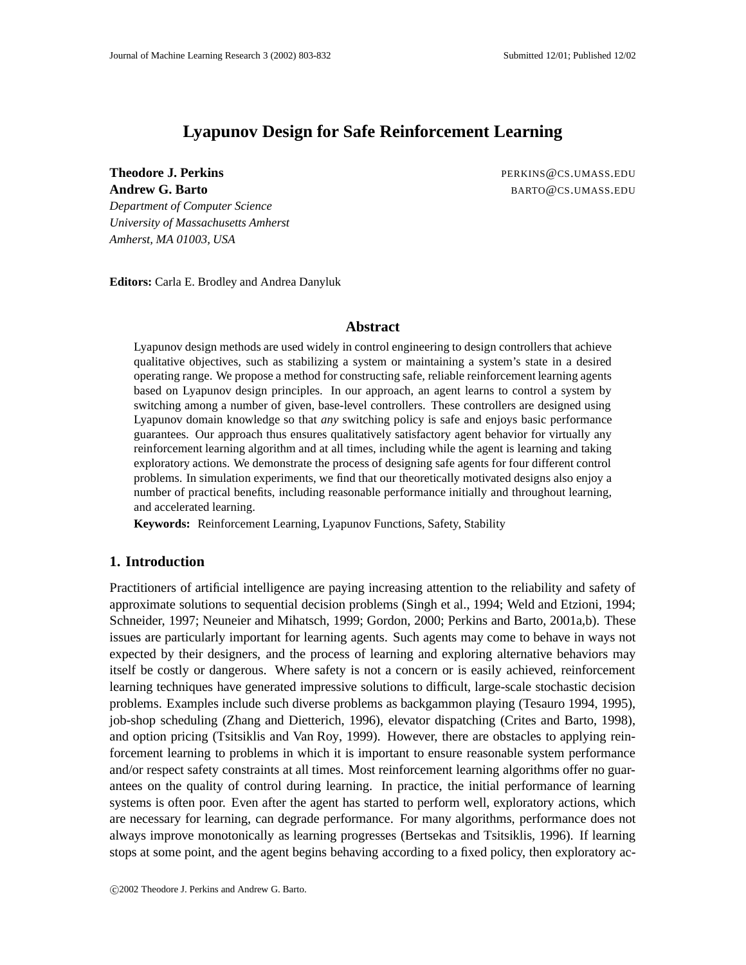# **Lyapunov Design for Safe Reinforcement Learning**

**Theodore J. Perkins PERKINS ACCOUNTS:** PERKINS @CS.UMASS.EDU

**Andrew G. Barto** BARTO **BARTO CONSTRUCTS** 

*Department of Computer Science University of Massachusetts Amherst Amherst, MA 01003, USA*

**Editors:** Carla E. Brodley and Andrea Danyluk

### **Abstract**

Lyapunov design methods are used widely in control engineering to design controllers that achieve qualitative objectives, such as stabilizing a system or maintaining a system's state in a desired operating range. We propose a method for constructing safe, reliable reinforcement learning agents based on Lyapunov design principles. In our approach, an agent learns to control a system by switching among a number of given, base-level controllers. These controllers are designed using Lyapunov domain knowledge so that *any* switching policy is safe and enjoys basic performance guarantees. Our approach thus ensures qualitatively satisfactory agent behavior for virtually any reinforcement learning algorithm and at all times, including while the agent is learning and taking exploratory actions. We demonstrate the process of designing safe agents for four different control problems. In simulation experiments, we find that our theoretically motivated designs also enjoy a number of practical benefits, including reasonable performance initially and throughout learning, and accelerated learning.

**Keywords:** Reinforcement Learning, Lyapunov Functions, Safety, Stability

# **1. Introduction**

Practitioners of artificial intelligence are paying increasing attention to the reliability and safety of approximate solutions to sequential decision problems (Singh et al., 1994; Weld and Etzioni, 1994; Schneider, 1997; Neuneier and Mihatsch, 1999; Gordon, 2000; Perkins and Barto, 2001a,b). These issues are particularly important for learning agents. Such agents may come to behave in ways not expected by their designers, and the process of learning and exploring alternative behaviors may itself be costly or dangerous. Where safety is not a concern or is easily achieved, reinforcement learning techniques have generated impressive solutions to difficult, large-scale stochastic decision problems. Examples include such diverse problems as backgammon playing (Tesauro 1994, 1995), job-shop scheduling (Zhang and Dietterich, 1996), elevator dispatching (Crites and Barto, 1998), and option pricing (Tsitsiklis and Van Roy, 1999). However, there are obstacles to applying reinforcement learning to problems in which it is important to ensure reasonable system performance and/or respect safety constraints at all times. Most reinforcement learning algorithms offer no guarantees on the quality of control during learning. In practice, the initial performance of learning systems is often poor. Even after the agent has started to perform well, exploratory actions, which are necessary for learning, can degrade performance. For many algorithms, performance does not always improve monotonically as learning progresses (Bertsekas and Tsitsiklis, 1996). If learning stops at some point, and the agent begins behaving according to a fixed policy, then exploratory ac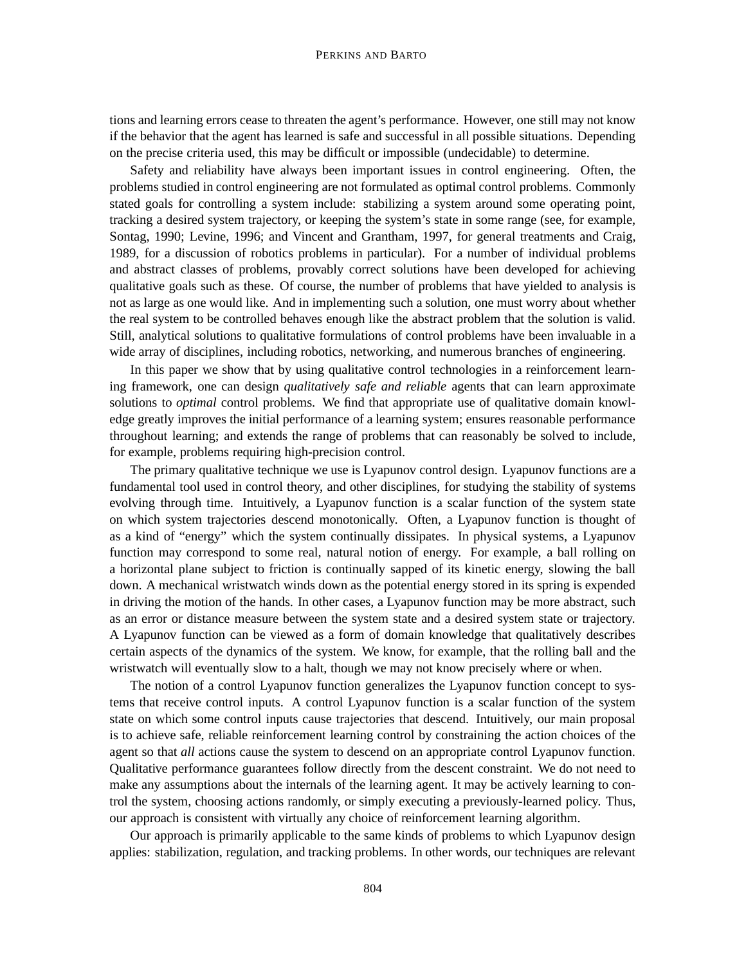tions and learning errors cease to threaten the agent's performance. However, one still may not know if the behavior that the agent has learned is safe and successful in all possible situations. Depending on the precise criteria used, this may be difficult or impossible (undecidable) to determine.

Safety and reliability have always been important issues in control engineering. Often, the problems studied in control engineering are not formulated as optimal control problems. Commonly stated goals for controlling a system include: stabilizing a system around some operating point, tracking a desired system trajectory, or keeping the system's state in some range (see, for example, Sontag, 1990; Levine, 1996; and Vincent and Grantham, 1997, for general treatments and Craig, 1989, for a discussion of robotics problems in particular). For a number of individual problems and abstract classes of problems, provably correct solutions have been developed for achieving qualitative goals such as these. Of course, the number of problems that have yielded to analysis is not as large as one would like. And in implementing such a solution, one must worry about whether the real system to be controlled behaves enough like the abstract problem that the solution is valid. Still, analytical solutions to qualitative formulations of control problems have been invaluable in a wide array of disciplines, including robotics, networking, and numerous branches of engineering.

In this paper we show that by using qualitative control technologies in a reinforcement learning framework, one can design *qualitatively safe and reliable* agents that can learn approximate solutions to *optimal* control problems. We find that appropriate use of qualitative domain knowledge greatly improves the initial performance of a learning system; ensures reasonable performance throughout learning; and extends the range of problems that can reasonably be solved to include, for example, problems requiring high-precision control.

The primary qualitative technique we use is Lyapunov control design. Lyapunov functions are a fundamental tool used in control theory, and other disciplines, for studying the stability of systems evolving through time. Intuitively, a Lyapunov function is a scalar function of the system state on which system trajectories descend monotonically. Often, a Lyapunov function is thought of as a kind of "energy" which the system continually dissipates. In physical systems, a Lyapunov function may correspond to some real, natural notion of energy. For example, a ball rolling on a horizontal plane subject to friction is continually sapped of its kinetic energy, slowing the ball down. A mechanical wristwatch winds down as the potential energy stored in its spring is expended in driving the motion of the hands. In other cases, a Lyapunov function may be more abstract, such as an error or distance measure between the system state and a desired system state or trajectory. A Lyapunov function can be viewed as a form of domain knowledge that qualitatively describes certain aspects of the dynamics of the system. We know, for example, that the rolling ball and the wristwatch will eventually slow to a halt, though we may not know precisely where or when.

The notion of a control Lyapunov function generalizes the Lyapunov function concept to systems that receive control inputs. A control Lyapunov function is a scalar function of the system state on which some control inputs cause trajectories that descend. Intuitively, our main proposal is to achieve safe, reliable reinforcement learning control by constraining the action choices of the agent so that *all* actions cause the system to descend on an appropriate control Lyapunov function. Qualitative performance guarantees follow directly from the descent constraint. We do not need to make any assumptions about the internals of the learning agent. It may be actively learning to control the system, choosing actions randomly, or simply executing a previously-learned policy. Thus, our approach is consistent with virtually any choice of reinforcement learning algorithm.

Our approach is primarily applicable to the same kinds of problems to which Lyapunov design applies: stabilization, regulation, and tracking problems. In other words, our techniques are relevant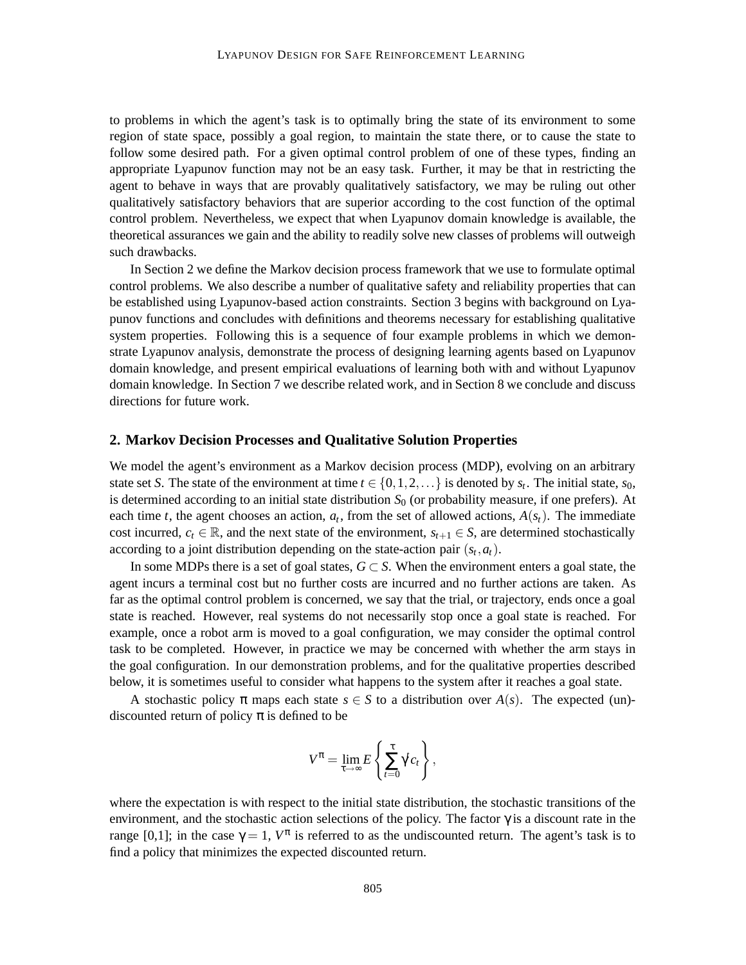to problems in which the agent's task is to optimally bring the state of its environment to some region of state space, possibly a goal region, to maintain the state there, or to cause the state to follow some desired path. For a given optimal control problem of one of these types, finding an appropriate Lyapunov function may not be an easy task. Further, it may be that in restricting the agent to behave in ways that are provably qualitatively satisfactory, we may be ruling out other qualitatively satisfactory behaviors that are superior according to the cost function of the optimal control problem. Nevertheless, we expect that when Lyapunov domain knowledge is available, the theoretical assurances we gain and the ability to readily solve new classes of problems will outweigh such drawbacks.

In Section 2 we define the Markov decision process framework that we use to formulate optimal control problems. We also describe a number of qualitative safety and reliability properties that can be established using Lyapunov-based action constraints. Section 3 begins with background on Lyapunov functions and concludes with definitions and theorems necessary for establishing qualitative system properties. Following this is a sequence of four example problems in which we demonstrate Lyapunov analysis, demonstrate the process of designing learning agents based on Lyapunov domain knowledge, and present empirical evaluations of learning both with and without Lyapunov domain knowledge. In Section 7 we describe related work, and in Section 8 we conclude and discuss directions for future work.

#### **2. Markov Decision Processes and Qualitative Solution Properties**

We model the agent's environment as a Markov decision process (MDP), evolving on an arbitrary state set *S*. The state of the environment at time  $t \in \{0, 1, 2, \ldots\}$  is denoted by  $s_t$ . The initial state,  $s_0$ , is determined according to an initial state distribution  $S_0$  (or probability measure, if one prefers). At each time *t*, the agent chooses an action,  $a_t$ , from the set of allowed actions,  $A(s_t)$ . The immediate cost incurred,  $c_t \in \mathbb{R}$ , and the next state of the environment,  $s_{t+1} \in S$ , are determined stochastically according to a joint distribution depending on the state-action pair  $(s_t, a_t)$ .

In some MDPs there is a set of goal states,  $G \subset S$ . When the environment enters a goal state, the agent incurs a terminal cost but no further costs are incurred and no further actions are taken. As far as the optimal control problem is concerned, we say that the trial, or trajectory, ends once a goal state is reached. However, real systems do not necessarily stop once a goal state is reached. For example, once a robot arm is moved to a goal configuration, we may consider the optimal control task to be completed. However, in practice we may be concerned with whether the arm stays in the goal configuration. In our demonstration problems, and for the qualitative properties described below, it is sometimes useful to consider what happens to the system after it reaches a goal state.

A stochastic policy  $\pi$  maps each state  $s \in S$  to a distribution over  $A(s)$ . The expected (un)discounted return of policy  $\pi$  is defined to be

$$
V^{\pi} = \lim_{\tau \to \infty} E\left\{ \sum_{t=0}^{\tau} \gamma^{t} c_t \right\},\,
$$

where the expectation is with respect to the initial state distribution, the stochastic transitions of the environment, and the stochastic action selections of the policy. The factor  $\gamma$  is a discount rate in the range [0,1]; in the case  $\gamma = 1$ ,  $V^{\pi}$  is referred to as the undiscounted return. The agent's task is to find a policy that minimizes the expected discounted return.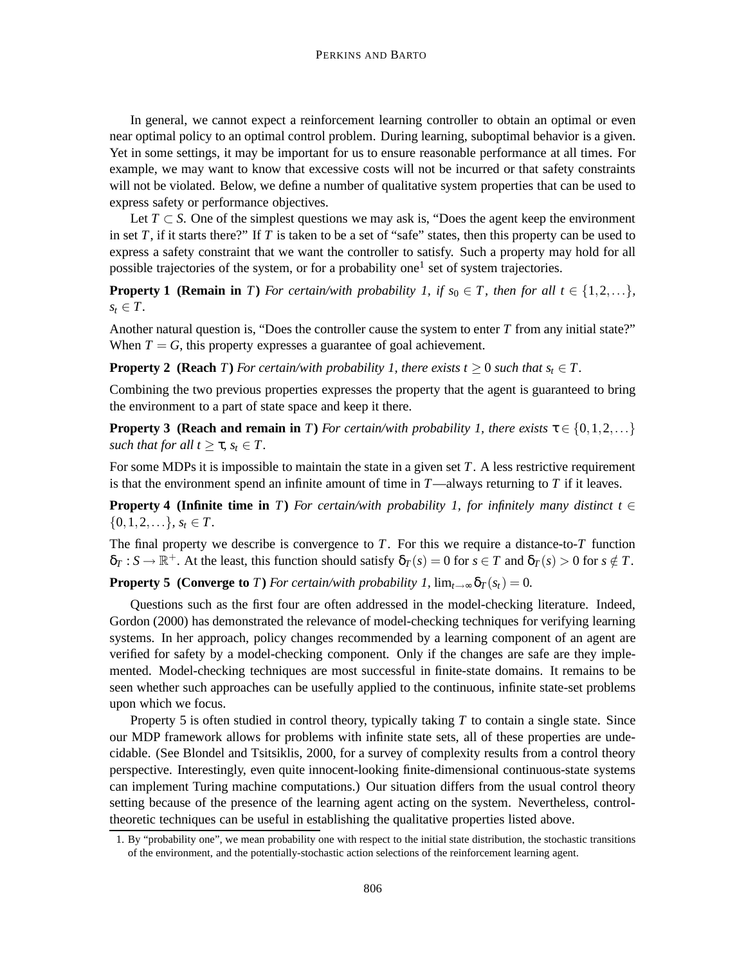In general, we cannot expect a reinforcement learning controller to obtain an optimal or even near optimal policy to an optimal control problem. During learning, suboptimal behavior is a given. Yet in some settings, it may be important for us to ensure reasonable performance at all times. For example, we may want to know that excessive costs will not be incurred or that safety constraints will not be violated. Below, we define a number of qualitative system properties that can be used to express safety or performance objectives.

Let  $T \subset S$ . One of the simplest questions we may ask is, "Does the agent keep the environment in set *T*, if it starts there?" If *T* is taken to be a set of "safe" states, then this property can be used to express a safety constraint that we want the controller to satisfy. Such a property may hold for all possible trajectories of the system, or for a probability one<sup>1</sup> set of system trajectories.

**Property 1 (Remain in** *T*) For certain/with probability 1, if  $s_0 \in T$ , then for all  $t \in \{1,2,...\}$ ,  $s_t \in T$ .

Another natural question is, "Does the controller cause the system to enter *T* from any initial state?" When  $T = G$ , this property expresses a guarantee of goal achievement.

**Property 2 (Reach** *T*) *For certain/with probability 1, there exists*  $t \geq 0$  *such that*  $s_t \in T$ .

Combining the two previous properties expresses the property that the agent is guaranteed to bring the environment to a part of state space and keep it there.

**Property 3 (Reach and remain in** *T*) *For certain/with probability 1, there exists*  $\tau \in \{0, 1, 2, ...\}$ *such that for all*  $t \geq \tau$ *,*  $s_t \in T$ *.* 

For some MDPs it is impossible to maintain the state in a given set *T*. A less restrictive requirement is that the environment spend an infinite amount of time in *T*—always returning to *T* if it leaves.

**Property 4 (Infinite time in** *T*) *For certain/with probability 1, for infinitely many distinct*  $t \in$  $\{0,1,2,\ldots\}, s_t \in T$ .

The final property we describe is convergence to *T*. For this we require a distance-to-*T* function  $\delta_T : S \to \mathbb{R}^+$ . At the least, this function should satisfy  $\delta_T(s) = 0$  for  $s \in T$  and  $\delta_T(s) > 0$  for  $s \notin T$ .

**Property 5 (Converge to** *T*) *For certain/with probability 1,*  $\lim_{t\to\infty} \delta_T(s_t) = 0$ *.* 

Questions such as the first four are often addressed in the model-checking literature. Indeed, Gordon (2000) has demonstrated the relevance of model-checking techniques for verifying learning systems. In her approach, policy changes recommended by a learning component of an agent are verified for safety by a model-checking component. Only if the changes are safe are they implemented. Model-checking techniques are most successful in finite-state domains. It remains to be seen whether such approaches can be usefully applied to the continuous, infinite state-set problems upon which we focus.

Property 5 is often studied in control theory, typically taking *T* to contain a single state. Since our MDP framework allows for problems with infinite state sets, all of these properties are undecidable. (See Blondel and Tsitsiklis, 2000, for a survey of complexity results from a control theory perspective. Interestingly, even quite innocent-looking finite-dimensional continuous-state systems can implement Turing machine computations.) Our situation differs from the usual control theory setting because of the presence of the learning agent acting on the system. Nevertheless, controltheoretic techniques can be useful in establishing the qualitative properties listed above.

<sup>1.</sup> By "probability one", we mean probability one with respect to the initial state distribution, the stochastic transitions of the environment, and the potentially-stochastic action selections of the reinforcement learning agent.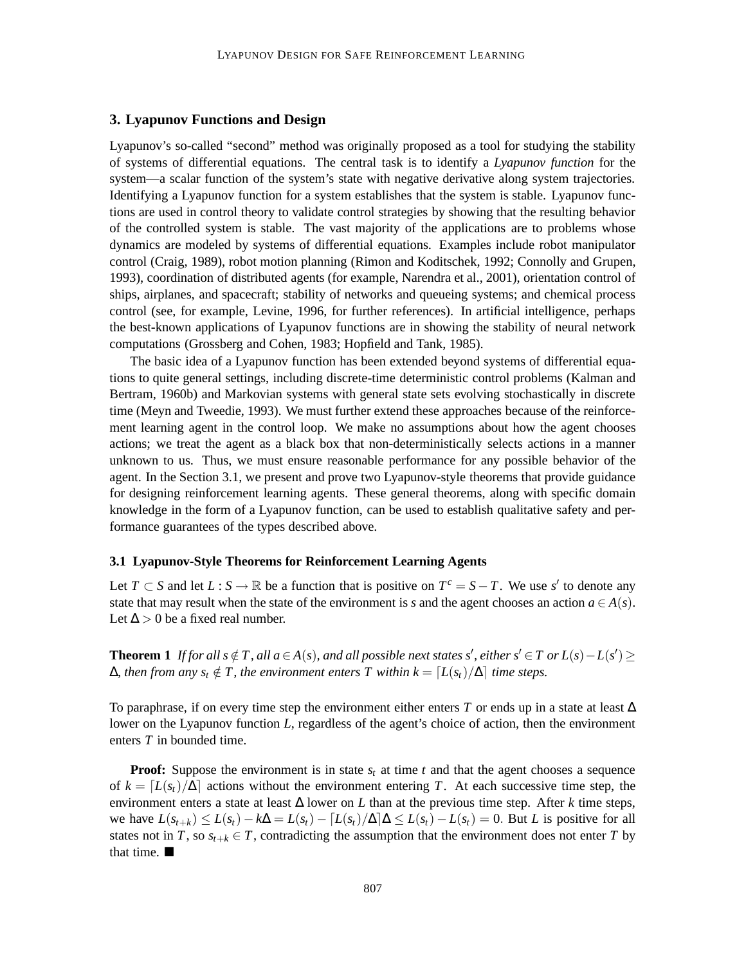# **3. Lyapunov Functions and Design**

Lyapunov's so-called "second" method was originally proposed as a tool for studying the stability of systems of differential equations. The central task is to identify a *Lyapunov function* for the system—a scalar function of the system's state with negative derivative along system trajectories. Identifying a Lyapunov function for a system establishes that the system is stable. Lyapunov functions are used in control theory to validate control strategies by showing that the resulting behavior of the controlled system is stable. The vast majority of the applications are to problems whose dynamics are modeled by systems of differential equations. Examples include robot manipulator control (Craig, 1989), robot motion planning (Rimon and Koditschek, 1992; Connolly and Grupen, 1993), coordination of distributed agents (for example, Narendra et al., 2001), orientation control of ships, airplanes, and spacecraft; stability of networks and queueing systems; and chemical process control (see, for example, Levine, 1996, for further references). In artificial intelligence, perhaps the best-known applications of Lyapunov functions are in showing the stability of neural network computations (Grossberg and Cohen, 1983; Hopfield and Tank, 1985).

The basic idea of a Lyapunov function has been extended beyond systems of differential equations to quite general settings, including discrete-time deterministic control problems (Kalman and Bertram, 1960b) and Markovian systems with general state sets evolving stochastically in discrete time (Meyn and Tweedie, 1993). We must further extend these approaches because of the reinforcement learning agent in the control loop. We make no assumptions about how the agent chooses actions; we treat the agent as a black box that non-deterministically selects actions in a manner unknown to us. Thus, we must ensure reasonable performance for any possible behavior of the agent. In the Section 3.1, we present and prove two Lyapunov-style theorems that provide guidance for designing reinforcement learning agents. These general theorems, along with specific domain knowledge in the form of a Lyapunov function, can be used to establish qualitative safety and performance guarantees of the types described above.

## **3.1 Lyapunov-Style Theorems for Reinforcement Learning Agents**

Let *T* ⊂ *S* and let *L* : *S* → R be a function that is positive on  $T^c = S - T$ . We use *s'* to denote any state that may result when the state of the environment is *s* and the agent chooses an action  $a \in A(s)$ . Let  $\Delta > 0$  be a fixed real number.

**Theorem 1** *If for all s* ∉ *T*, *all a* ∈ *A*(*s*), *and all possible next states s'*, *either s'* ∈ *T or L*(*s*) − *L*(*s'*) ≥  $\Delta$ *, then from any s<sub>t</sub>* ∉ *T, the environment enters T within k* =  $[L(s_t)/\Delta]$  *time steps.* 

To paraphrase, if on every time step the environment either enters *T* or ends up in a state at least ∆ lower on the Lyapunov function *L*, regardless of the agent's choice of action, then the environment enters *T* in bounded time.

**Proof:** Suppose the environment is in state  $s_t$  at time  $t$  and that the agent chooses a sequence of  $k = [L(s_t)/\Delta]$  actions without the environment entering *T*. At each successive time step, the environment enters a state at least ∆ lower on *L* than at the previous time step. After *k* time steps, we have  $L(s_{t+k}) \leq L(s_t) - k\Delta = L(s_t) - [L(s_t)/\Delta] \Delta \leq L(s_t) - L(s_t) = 0$ . But *L* is positive for all states not in *T*, so  $s_{t+k} \in T$ , contradicting the assumption that the environment does not enter *T* by that time.  $\blacksquare$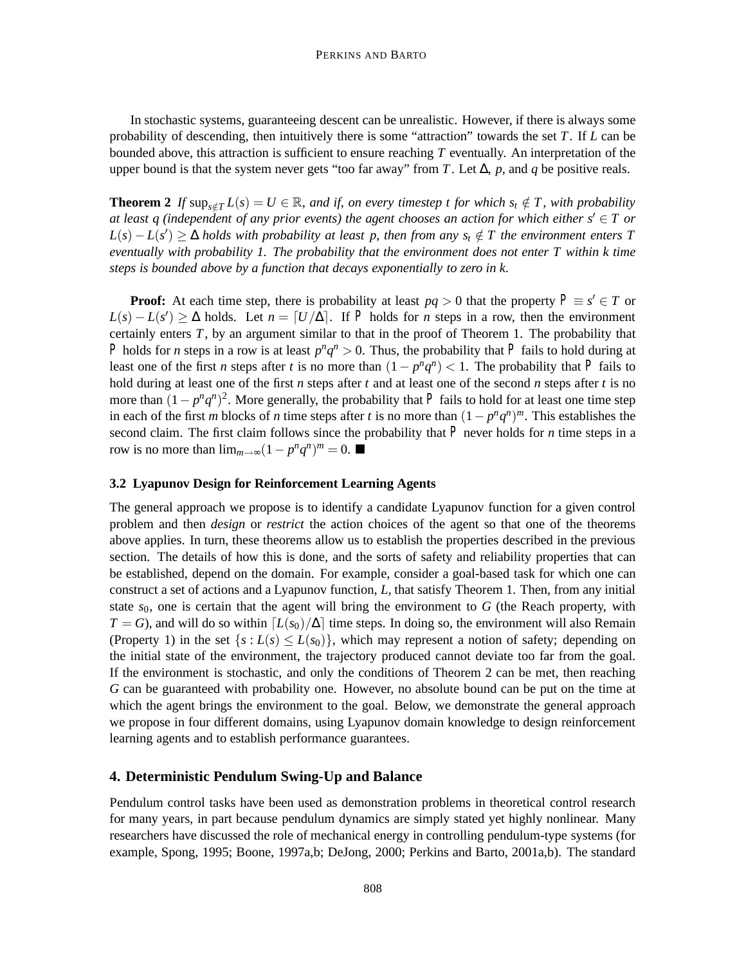In stochastic systems, guaranteeing descent can be unrealistic. However, if there is always some probability of descending, then intuitively there is some "attraction" towards the set *T*. If *L* can be bounded above, this attraction is sufficient to ensure reaching *T* eventually. An interpretation of the upper bound is that the system never gets "too far away" from *T*. Let ∆, *p*, and *q* be positive reals.

**Theorem 2** *If* sup<sub>*s∉T*</sub>  $L(s) = U \in \mathbb{R}$ *, and if, on every timestep t for which s<sub>t</sub>*  $\notin T$ *, with probability at least q (independent of any prior events) the agent chooses an action for which either s'*  $\in$  *T or*  $L(s) - L(s') \geq \Delta$  *holds with probability at least p, then from any*  $s_t \notin T$  *the environment enters* T *eventually with probability 1. The probability that the environment does not enter T within k time steps is bounded above by a function that decays exponentially to zero in k.*

**Proof:** At each time step, there is probability at least  $pq > 0$  that the property  $P \equiv s' \in T$  or  $L(s) - L(s') \geq \Delta$  holds. Let  $n = [U/\Delta]$ . If *P* holds for *n* steps in a row, then the environment certainly enters *T*, by an argument similar to that in the proof of Theorem 1. The probability that *P* holds for *n* steps in a row is at least  $p^{n}q^{n} > 0$ . Thus, the probability that *P* fails to hold during at least one of the first *n* steps after *t* is no more than  $(1 - p^n q^n) < 1$ . The probability that *P* fails to hold during at least one of the first *n* steps after *t* and at least one of the second *n* steps after *t* is no more than  $(1 - p^n q^n)^2$ . More generally, the probability that P fails to hold for at least one time step in each of the first *m* blocks of *n* time steps after *t* is no more than  $(1 - p^n q^n)^m$ . This establishes the second claim. The first claim follows since the probability that  $P$  never holds for *n* time steps in a row is no more than  $\lim_{m\to\infty}(1-p^nq^n)^m=0$ . ■

# **3.2 Lyapunov Design for Reinforcement Learning Agents**

The general approach we propose is to identify a candidate Lyapunov function for a given control problem and then *design* or *restrict* the action choices of the agent so that one of the theorems above applies. In turn, these theorems allow us to establish the properties described in the previous section. The details of how this is done, and the sorts of safety and reliability properties that can be established, depend on the domain. For example, consider a goal-based task for which one can construct a set of actions and a Lyapunov function, *L*, that satisfy Theorem 1. Then, from any initial state  $s_0$ , one is certain that the agent will bring the environment to  $G$  (the Reach property, with  $T = G$ ), and will do so within  $[L(s_0)/\Delta]$  time steps. In doing so, the environment will also Remain (Property 1) in the set  $\{s : L(s) \leq L(s_0)\}$ , which may represent a notion of safety; depending on the initial state of the environment, the trajectory produced cannot deviate too far from the goal. If the environment is stochastic, and only the conditions of Theorem 2 can be met, then reaching *G* can be guaranteed with probability one. However, no absolute bound can be put on the time at which the agent brings the environment to the goal. Below, we demonstrate the general approach we propose in four different domains, using Lyapunov domain knowledge to design reinforcement learning agents and to establish performance guarantees.

# **4. Deterministic Pendulum Swing-Up and Balance**

Pendulum control tasks have been used as demonstration problems in theoretical control research for many years, in part because pendulum dynamics are simply stated yet highly nonlinear. Many researchers have discussed the role of mechanical energy in controlling pendulum-type systems (for example, Spong, 1995; Boone, 1997a,b; DeJong, 2000; Perkins and Barto, 2001a,b). The standard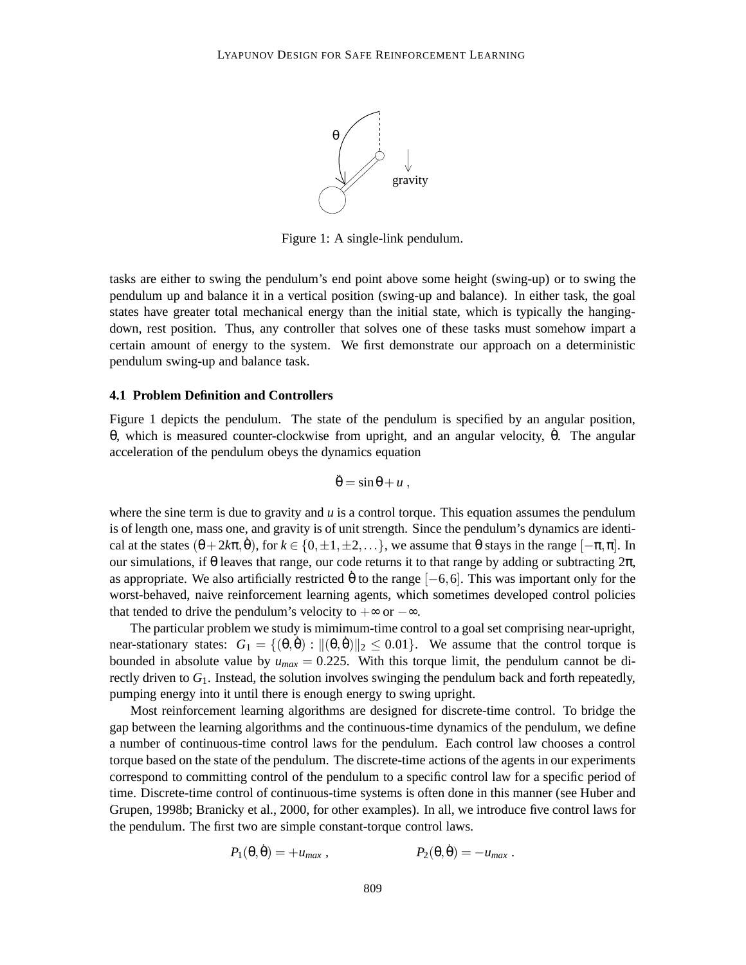

Figure 1: A single-link pendulum.

tasks are either to swing the pendulum's end point above some height (swing-up) or to swing the pendulum up and balance it in a vertical position (swing-up and balance). In either task, the goal states have greater total mechanical energy than the initial state, which is typically the hangingdown, rest position. Thus, any controller that solves one of these tasks must somehow impart a certain amount of energy to the system. We first demonstrate our approach on a deterministic pendulum swing-up and balance task.

### **4.1 Problem Definition and Controllers**

Figure 1 depicts the pendulum. The state of the pendulum is specified by an angular position, θ, which is measured counter-clockwise from upright, and an angular velocity,  $θ$ . The angular acceleration of the pendulum obeys the dynamics equation

$$
\ddot{\theta} = \sin \theta + u ,
$$

where the sine term is due to gravity and *u* is a control torque. This equation assumes the pendulum is of length one, mass one, and gravity is of unit strength. Since the pendulum's dynamics are identical at the states  $(\theta + 2k\pi, \dot{\theta})$ , for  $k \in \{0, \pm 1, \pm 2, ...\}$ , we assume that  $\theta$  stays in the range  $[-\pi, \pi]$ . In our simulations, if θ leaves that range, our code returns it to that range by adding or subtracting  $2π$ , as appropriate. We also artificially restricted  $\dot{\theta}$  to the range [−6,6]. This was important only for the worst-behaved, naive reinforcement learning agents, which sometimes developed control policies that tended to drive the pendulum's velocity to  $+\infty$  or  $-\infty$ .

The particular problem we study is mimimum-time control to a goal set comprising near-upright, near-stationary states:  $G_1 = \{(\theta, \dot{\theta}) : ||(\theta, \dot{\theta})||_2 \leq 0.01\}$ . We assume that the control torque is bounded in absolute value by  $u_{max} = 0.225$ . With this torque limit, the pendulum cannot be directly driven to *G*1. Instead, the solution involves swinging the pendulum back and forth repeatedly, pumping energy into it until there is enough energy to swing upright.

Most reinforcement learning algorithms are designed for discrete-time control. To bridge the gap between the learning algorithms and the continuous-time dynamics of the pendulum, we define a number of continuous-time control laws for the pendulum. Each control law chooses a control torque based on the state of the pendulum. The discrete-time actions of the agents in our experiments correspond to committing control of the pendulum to a specific control law for a specific period of time. Discrete-time control of continuous-time systems is often done in this manner (see Huber and Grupen, 1998b; Branicky et al., 2000, for other examples). In all, we introduce five control laws for the pendulum. The first two are simple constant-torque control laws.

$$
P_1(\theta, \dot{\theta}) = +u_{max} , \qquad \qquad P_2(\theta, \dot{\theta}) = -u_{max} .
$$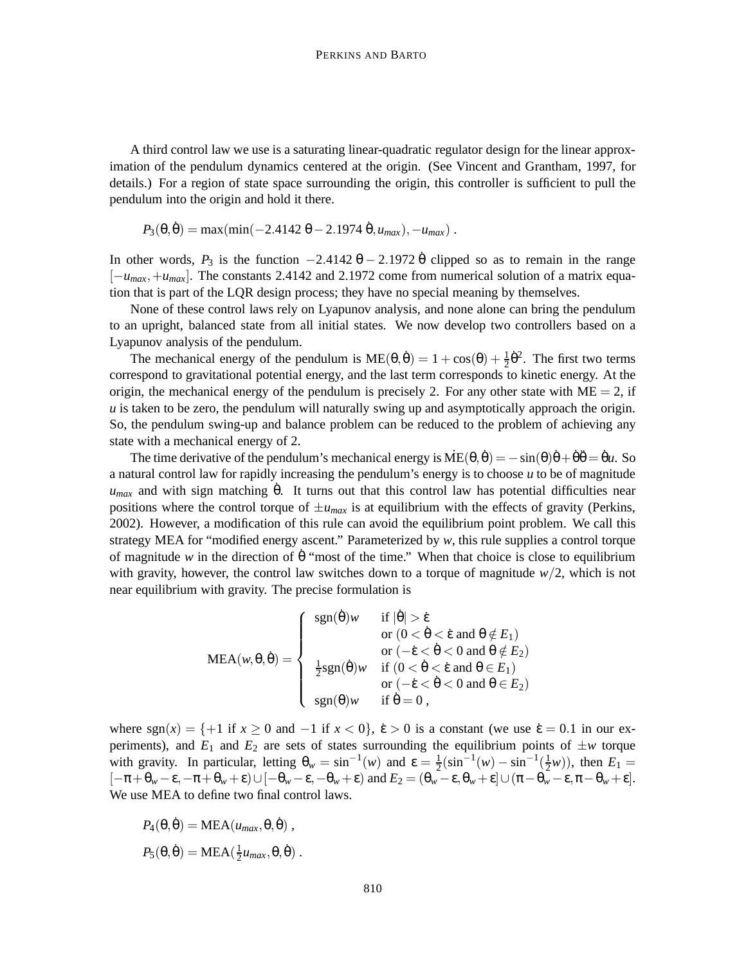A third control law we use is a saturating linear-quadratic regulator design for the linear approximation of the pendulum dynamics centered at the origin. (See Vincent and Grantham, 1997, for details.) For a region of state space surrounding the origin, this controller is sufficient to pull the pendulum into the origin and hold it there.

$$
P_3(\theta, \dot{\theta}) = \max(\min(-2.4142 \theta - 2.1974 \dot{\theta}, u_{max}), -u_{max}).
$$

In other words,  $P_3$  is the function  $-2.4142 \theta - 2.1972 \dot{\theta}$  clipped so as to remain in the range [−*umax*,+*umax*]. The constants 2.4142 and 2.1972 come from numerical solution of a matrix equation that is part of the LQR design process; they have no special meaning by themselves.

None of these control laws rely on Lyapunov analysis, and none alone can bring the pendulum to an upright, balanced state from all initial states. We now develop two controllers based on a Lyapunov analysis of the pendulum.

The mechanical energy of the pendulum is  $ME(\theta, \dot{\theta}) = 1 + \cos(\theta) + \frac{1}{2}\dot{\theta}^2$ . The first two terms correspond to gravitational potential energy, and the last term corresponds to kinetic energy. At the origin, the mechanical energy of the pendulum is precisely 2. For any other state with  $ME = 2$ , if *u* is taken to be zero, the pendulum will naturally swing up and asymptotically approach the origin. So, the pendulum swing-up and balance problem can be reduced to the problem of achieving any state with a mechanical energy of 2.

The time derivative of the pendulum's mechanical energy is  $\overline{ME}(\theta, \theta) = -\sin(\theta)\theta + \theta\theta = \theta u$ . So a natural control law for rapidly increasing the pendulum's energy is to choose *u* to be of magnitude  $u_{max}$  and with sign matching  $\dot{\theta}$ . It turns out that this control law has potential difficulties near positions where the control torque of  $\pm u_{max}$  is at equilibrium with the effects of gravity (Perkins, 2002). However, a modification of this rule can avoid the equilibrium point problem. We call this strategy MEA for "modified energy ascent." Parameterized by *w*, this rule supplies a control torque of magnitude *w* in the direction of  $\dot{\theta}$  "most of the time." When that choice is close to equilibrium with gravity, however, the control law switches down to a torque of magnitude *w*/2, which is not near equilibrium with gravity. The precise formulation is

$$
\text{MEA}(w, \theta, \dot{\theta}) = \left\{ \begin{array}{cl} \text{sgn}(\dot{\theta})w & \text{if } |\dot{\theta}| > \dot{\epsilon} \\ & \text{or } (0 < \dot{\theta} < \dot{\epsilon} \text{ and } \theta \notin E_1) \\ & \text{or } (-\dot{\epsilon} < \dot{\theta} < 0 \text{ and } \theta \notin E_2) \\ & \frac{1}{2}\text{sgn}(\dot{\theta})w & \text{if } (0 < \dot{\theta} < \dot{\epsilon} \text{ and } \theta \in E_1) \\ & \text{or } (-\dot{\epsilon} < \dot{\theta} < 0 \text{ and } \theta \in E_2) \\ & \text{sgn}(\theta)w & \text{if } \dot{\theta} = 0 \end{array} \right.
$$

where  $sgn(x) = \{+1 \text{ if } x \ge 0 \text{ and } -1 \text{ if } x < 0\}$ ,  $\dot{\epsilon} > 0$  is a constant (we use  $\dot{\epsilon} = 0.1$  in our experiments), and  $E_1$  and  $E_2$  are sets of states surrounding the equilibrium points of  $\pm w$  torque with gravity. In particular, letting  $\theta_w = \sin^{-1}(w)$  and  $\varepsilon = \frac{1}{2}(\sin^{-1}(w) - \sin^{-1}(\frac{1}{2}w))$ , then  $E_1 =$  $[-\pi + \theta_w - \varepsilon, -\pi + \theta_w + \varepsilon) \cup [-\theta_w - \varepsilon, -\theta_w + \varepsilon]$  and  $E_2 = (\theta_w - \varepsilon, \theta_w + \varepsilon] \cup (\pi - \theta_w - \varepsilon, \pi - \theta_w + \varepsilon]$ . We use MEA to define two final control laws.

$$
P_4(\theta, \dot{\theta}) = \text{MEA}(u_{max}, \theta, \dot{\theta}),
$$
  

$$
P_5(\theta, \dot{\theta}) = \text{MEA}(\frac{1}{2}u_{max}, \theta, \dot{\theta}).
$$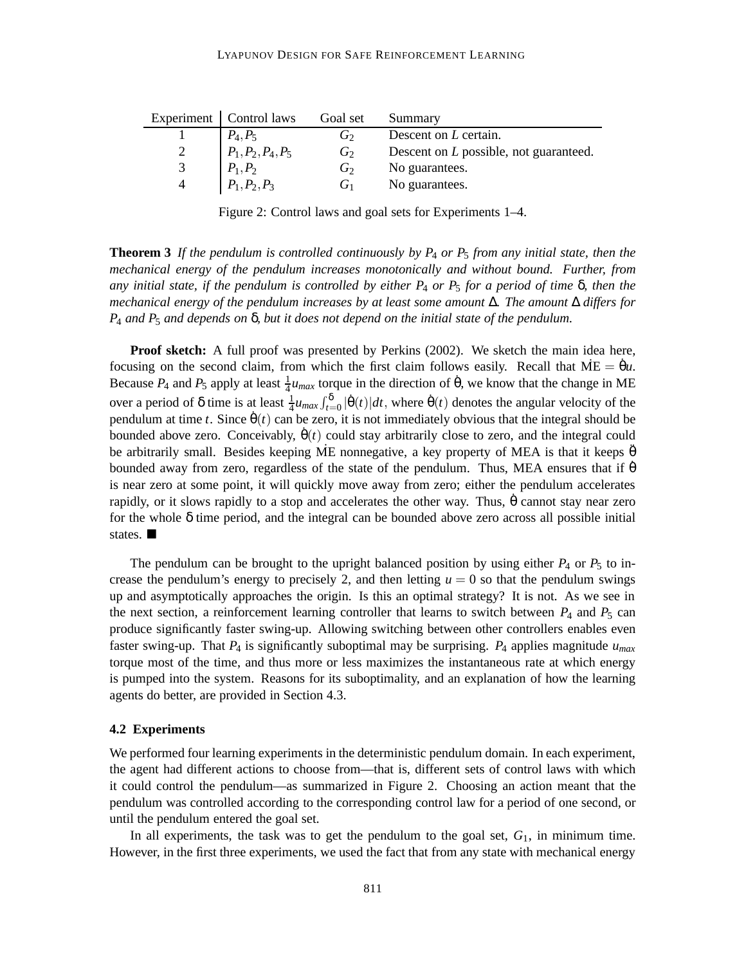|   | Experiment   Control laws                                      | Goal set       | Summary                                |
|---|----------------------------------------------------------------|----------------|----------------------------------------|
|   |                                                                | $G_2$          | Descent on L certain.                  |
|   | $\begin{array}{ l} P_4, P_5 \\ P_1, P_2, P_4, P_5 \end{array}$ | $G_2$          | Descent on L possible, not guaranteed. |
| 3 |                                                                | $G_2$          | No guarantees.                         |
|   | $P_1, P_2$<br>$P_1, P_2, P_3$                                  | G <sub>1</sub> | No guarantees.                         |

Figure 2: Control laws and goal sets for Experiments 1–4.

**Theorem 3** *If the pendulum is controlled continuously by P*<sup>4</sup> *or P*<sup>5</sup> *from any initial state, then the mechanical energy of the pendulum increases monotonically and without bound. Further, from any initial state, if the pendulum is controlled by either P*<sup>4</sup> *or P*<sup>5</sup> *for a period of time* δ*, then the mechanical energy of the pendulum increases by at least some amount* ∆*. The amount* ∆ *differs for P*<sup>4</sup> *and P*<sup>5</sup> *and depends on* δ*, but it does not depend on the initial state of the pendulum.*

**Proof sketch:** A full proof was presented by Perkins (2002). We sketch the main idea here, focusing on the second claim, from which the first claim follows easily. Recall that  $\overline{ME} = \theta u$ . Because  $P_4$  and  $P_5$  apply at least  $\frac{1}{4}u_{max}$  torque in the direction of  $\dot{\theta}$ , we know that the change in ME over a period of  $\delta$  time is at least  $\frac{1}{4}u_{max}\int_{t=0}^{\delta} |\dot{\theta}(t)|dt$ , where  $\dot{\theta}(t)$  denotes the angular velocity of the pendulum at time *t*. Since  $\dot{\theta}(t)$  can be zero, it is not immediately obvious that the integral should be bounded above zero. Conceivably,  $\dot{\theta}(t)$  could stay arbitrarily close to zero, and the integral could be arbitrarily small. Besides keeping ME nonnegative, a key property of MEA is that it keeps  $\ddot{\theta}$ bounded away from zero, regardless of the state of the pendulum. Thus, MEA ensures that if  $\dot{\theta}$ is near zero at some point, it will quickly move away from zero; either the pendulum accelerates rapidly, or it slows rapidly to a stop and accelerates the other way. Thus,  $\hat{\theta}$  cannot stay near zero for the whole  $\delta$  time period, and the integral can be bounded above zero across all possible initial states.

The pendulum can be brought to the upright balanced position by using either  $P_4$  or  $P_5$  to increase the pendulum's energy to precisely 2, and then letting  $u = 0$  so that the pendulum swings up and asymptotically approaches the origin. Is this an optimal strategy? It is not. As we see in the next section, a reinforcement learning controller that learns to switch between  $P_4$  and  $P_5$  can produce significantly faster swing-up. Allowing switching between other controllers enables even faster swing-up. That *P*<sup>4</sup> is significantly suboptimal may be surprising. *P*<sup>4</sup> applies magnitude *umax* torque most of the time, and thus more or less maximizes the instantaneous rate at which energy is pumped into the system. Reasons for its suboptimality, and an explanation of how the learning agents do better, are provided in Section 4.3.

#### **4.2 Experiments**

We performed four learning experiments in the deterministic pendulum domain. In each experiment, the agent had different actions to choose from—that is, different sets of control laws with which it could control the pendulum—as summarized in Figure 2. Choosing an action meant that the pendulum was controlled according to the corresponding control law for a period of one second, or until the pendulum entered the goal set.

In all experiments, the task was to get the pendulum to the goal set,  $G_1$ , in minimum time. However, in the first three experiments, we used the fact that from any state with mechanical energy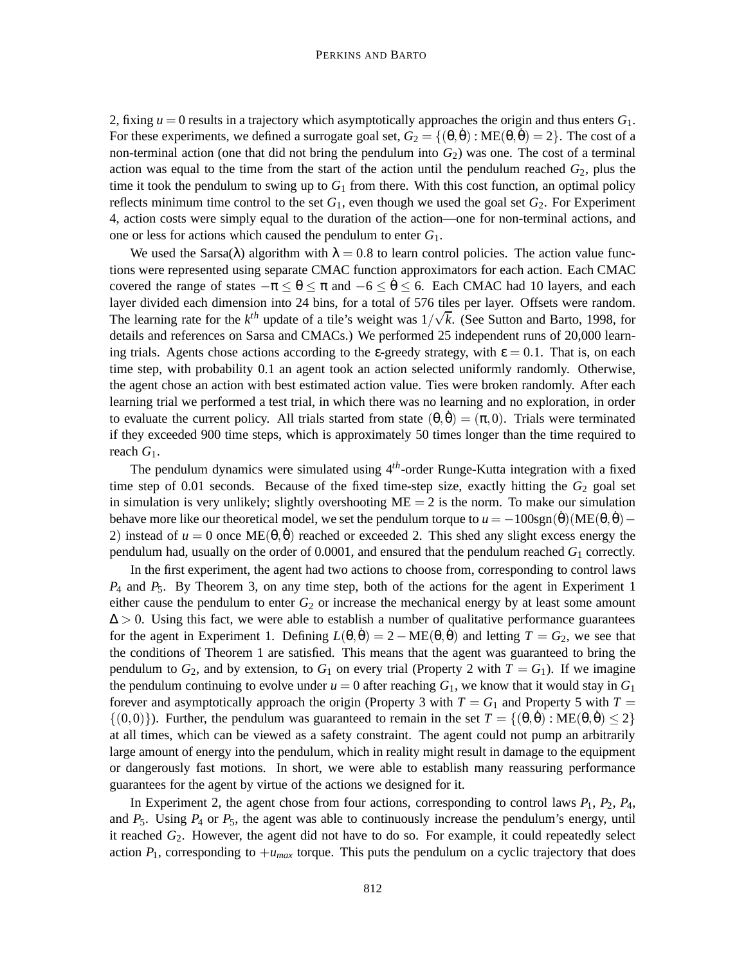2, fixing  $u = 0$  results in a trajectory which asymptotically approaches the origin and thus enters  $G_1$ . For these experiments, we defined a surrogate goal set,  $G_2 = \{(\theta, \dot{\theta}): ME(\theta, \dot{\theta}) = 2\}$ . The cost of a non-terminal action (one that did not bring the pendulum into  $G_2$ ) was one. The cost of a terminal action was equal to the time from the start of the action until the pendulum reached  $G_2$ , plus the time it took the pendulum to swing up to  $G_1$  from there. With this cost function, an optimal policy reflects minimum time control to the set  $G_1$ , even though we used the goal set  $G_2$ . For Experiment 4, action costs were simply equal to the duration of the action—one for non-terminal actions, and one or less for actions which caused the pendulum to enter *G*1.

We used the Sarsa( $\lambda$ ) algorithm with  $\lambda = 0.8$  to learn control policies. The action value functions were represented using separate CMAC function approximators for each action. Each CMAC covered the range of states  $-\pi \leq \theta \leq \pi$  and  $-6 \leq \theta \leq 6$ . Each CMAC had 10 layers, and each layer divided each dimension into 24 bins, for a total of 576 tiles per layer. Offsets were random. rayer divided each dimension into 24 bins, for a total of 376 thes per layer. Offsets were random.<br>The learning rate for the  $k^{th}$  update of a tile's weight was  $1/\sqrt{k}$ . (See Sutton and Barto, 1998, for details and references on Sarsa and CMACs.) We performed 25 independent runs of 20,000 learning trials. Agents chose actions according to the *ε*-greedy strategy, with  $\epsilon = 0.1$ . That is, on each time step, with probability 0.1 an agent took an action selected uniformly randomly. Otherwise, the agent chose an action with best estimated action value. Ties were broken randomly. After each learning trial we performed a test trial, in which there was no learning and no exploration, in order to evaluate the current policy. All trials started from state  $(\theta, \dot{\theta}) = (\pi, 0)$ . Trials were terminated if they exceeded 900 time steps, which is approximately 50 times longer than the time required to reach *G*1.

The pendulum dynamics were simulated using 4*th*-order Runge-Kutta integration with a fixed time step of  $0.01$  seconds. Because of the fixed time-step size, exactly hitting the  $G_2$  goal set in simulation is very unlikely; slightly overshooting  $ME = 2$  is the norm. To make our simulation behave more like our theoretical model, we set the pendulum torque to  $u = -100$ sgn( $\dot{\theta}$ )(ME( $\theta$ , $\dot{\theta}$ ) − 2) instead of  $u = 0$  once ME( $\theta$ , $\dot{\theta}$ ) reached or exceeded 2. This shed any slight excess energy the pendulum had, usually on the order of 0.0001, and ensured that the pendulum reached  $G_1$  correctly.

In the first experiment, the agent had two actions to choose from, corresponding to control laws *P*<sup>4</sup> and *P*5. By Theorem 3, on any time step, both of the actions for the agent in Experiment 1 either cause the pendulum to enter  $G_2$  or increase the mechanical energy by at least some amount  $\Delta > 0$ . Using this fact, we were able to establish a number of qualitative performance guarantees for the agent in Experiment 1. Defining  $L(\theta, \dot{\theta}) = 2 - ME(\theta, \dot{\theta})$  and letting  $T = G_2$ , we see that the conditions of Theorem 1 are satisfied. This means that the agent was guaranteed to bring the pendulum to  $G_2$ , and by extension, to  $G_1$  on every trial (Property 2 with  $T = G_1$ ). If we imagine the pendulum continuing to evolve under  $u = 0$  after reaching  $G_1$ , we know that it would stay in  $G_1$ forever and asymptotically approach the origin (Property 3 with  $T = G_1$  and Property 5 with  $T =$  $\{(0,0)\}\.$  Further, the pendulum was guaranteed to remain in the set  $T = \{(0,0): ME(\theta, \dot{\theta}) \leq 2\}$ at all times, which can be viewed as a safety constraint. The agent could not pump an arbitrarily large amount of energy into the pendulum, which in reality might result in damage to the equipment or dangerously fast motions. In short, we were able to establish many reassuring performance guarantees for the agent by virtue of the actions we designed for it.

In Experiment 2, the agent chose from four actions, corresponding to control laws  $P_1$ ,  $P_2$ ,  $P_4$ , and  $P_5$ . Using  $P_4$  or  $P_5$ , the agent was able to continuously increase the pendulum's energy, until it reached *G*2. However, the agent did not have to do so. For example, it could repeatedly select action  $P_1$ , corresponding to  $+u_{max}$  torque. This puts the pendulum on a cyclic trajectory that does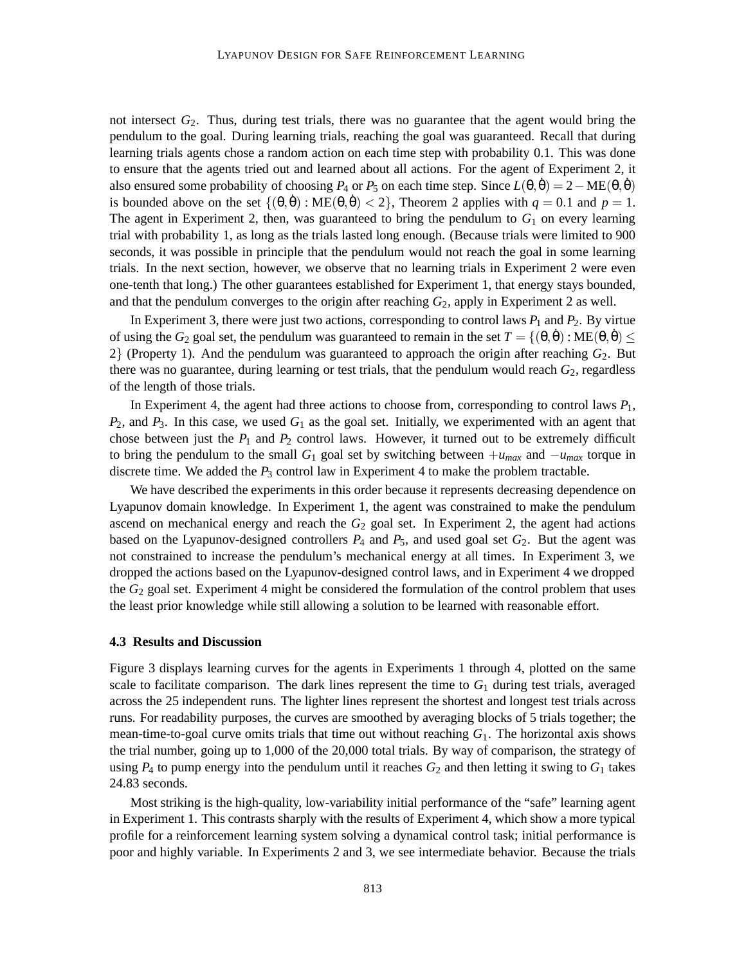not intersect *G*2. Thus, during test trials, there was no guarantee that the agent would bring the pendulum to the goal. During learning trials, reaching the goal was guaranteed. Recall that during learning trials agents chose a random action on each time step with probability 0.1. This was done to ensure that the agents tried out and learned about all actions. For the agent of Experiment 2, it also ensured some probability of choosing  $P_4$  or  $P_5$  on each time step. Since  $L(\theta, \dot{\theta}) = 2 - ME(\theta, \dot{\theta})$ is bounded above on the set  $\{(\theta, \dot{\theta}) : ME(\theta, \dot{\theta}) < 2\}$ , Theorem 2 applies with  $q = 0.1$  and  $p = 1$ . The agent in Experiment 2, then, was guaranteed to bring the pendulum to  $G_1$  on every learning trial with probability 1, as long as the trials lasted long enough. (Because trials were limited to 900 seconds, it was possible in principle that the pendulum would not reach the goal in some learning trials. In the next section, however, we observe that no learning trials in Experiment 2 were even one-tenth that long.) The other guarantees established for Experiment 1, that energy stays bounded, and that the pendulum converges to the origin after reaching  $G_2$ , apply in Experiment 2 as well.

In Experiment 3, there were just two actions, corresponding to control laws  $P_1$  and  $P_2$ . By virtue of using the *G*<sub>2</sub> goal set, the pendulum was guaranteed to remain in the set  $T = \{(\theta, \dot{\theta}) : \text{ME}(\theta, \dot{\theta}) \leq \theta\}$  $2$ } (Property 1). And the pendulum was guaranteed to approach the origin after reaching  $G_2$ . But there was no guarantee, during learning or test trials, that the pendulum would reach  $G_2$ , regardless of the length of those trials.

In Experiment 4, the agent had three actions to choose from, corresponding to control laws  $P_1$ , *P*2, and *P*3. In this case, we used *G*<sup>1</sup> as the goal set. Initially, we experimented with an agent that chose between just the  $P_1$  and  $P_2$  control laws. However, it turned out to be extremely difficult to bring the pendulum to the small  $G_1$  goal set by switching between  $+u_{max}$  and  $-u_{max}$  torque in discrete time. We added the  $P_3$  control law in Experiment 4 to make the problem tractable.

We have described the experiments in this order because it represents decreasing dependence on Lyapunov domain knowledge. In Experiment 1, the agent was constrained to make the pendulum ascend on mechanical energy and reach the  $G_2$  goal set. In Experiment 2, the agent had actions based on the Lyapunov-designed controllers  $P_4$  and  $P_5$ , and used goal set  $G_2$ . But the agent was not constrained to increase the pendulum's mechanical energy at all times. In Experiment 3, we dropped the actions based on the Lyapunov-designed control laws, and in Experiment 4 we dropped the *G*<sup>2</sup> goal set. Experiment 4 might be considered the formulation of the control problem that uses the least prior knowledge while still allowing a solution to be learned with reasonable effort.

#### **4.3 Results and Discussion**

Figure 3 displays learning curves for the agents in Experiments 1 through 4, plotted on the same scale to facilitate comparison. The dark lines represent the time to  $G_1$  during test trials, averaged across the 25 independent runs. The lighter lines represent the shortest and longest test trials across runs. For readability purposes, the curves are smoothed by averaging blocks of 5 trials together; the mean-time-to-goal curve omits trials that time out without reaching  $G_1$ . The horizontal axis shows the trial number, going up to 1,000 of the 20,000 total trials. By way of comparison, the strategy of using  $P_4$  to pump energy into the pendulum until it reaches  $G_2$  and then letting it swing to  $G_1$  takes 24.83 seconds.

Most striking is the high-quality, low-variability initial performance of the "safe" learning agent in Experiment 1. This contrasts sharply with the results of Experiment 4, which show a more typical profile for a reinforcement learning system solving a dynamical control task; initial performance is poor and highly variable. In Experiments 2 and 3, we see intermediate behavior. Because the trials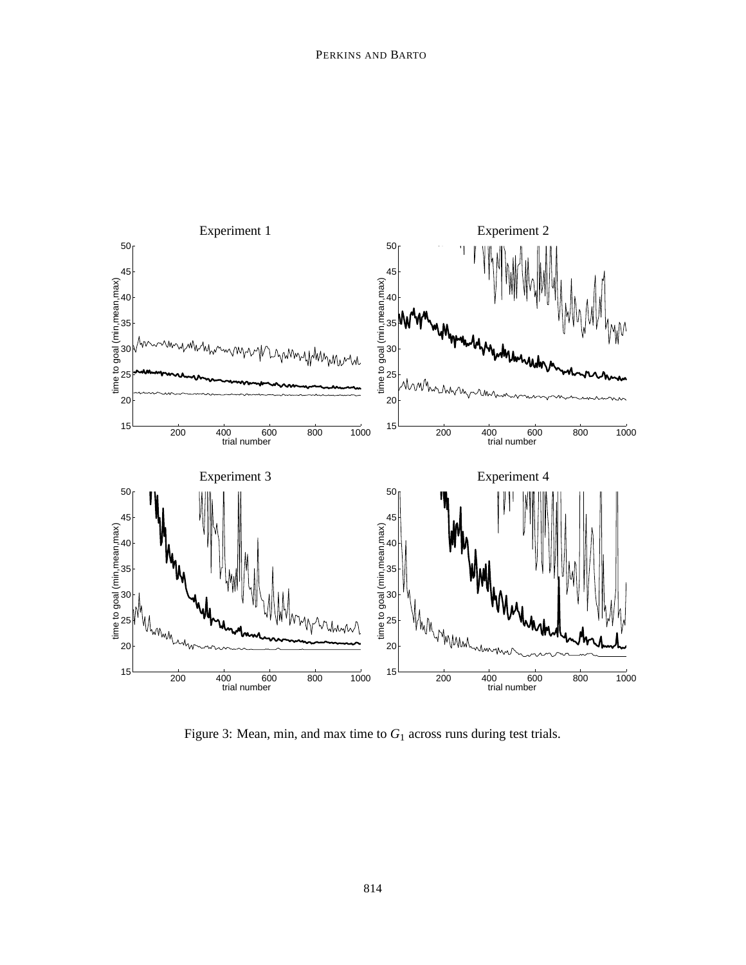

Figure 3: Mean, min, and max time to *G*<sup>1</sup> across runs during test trials.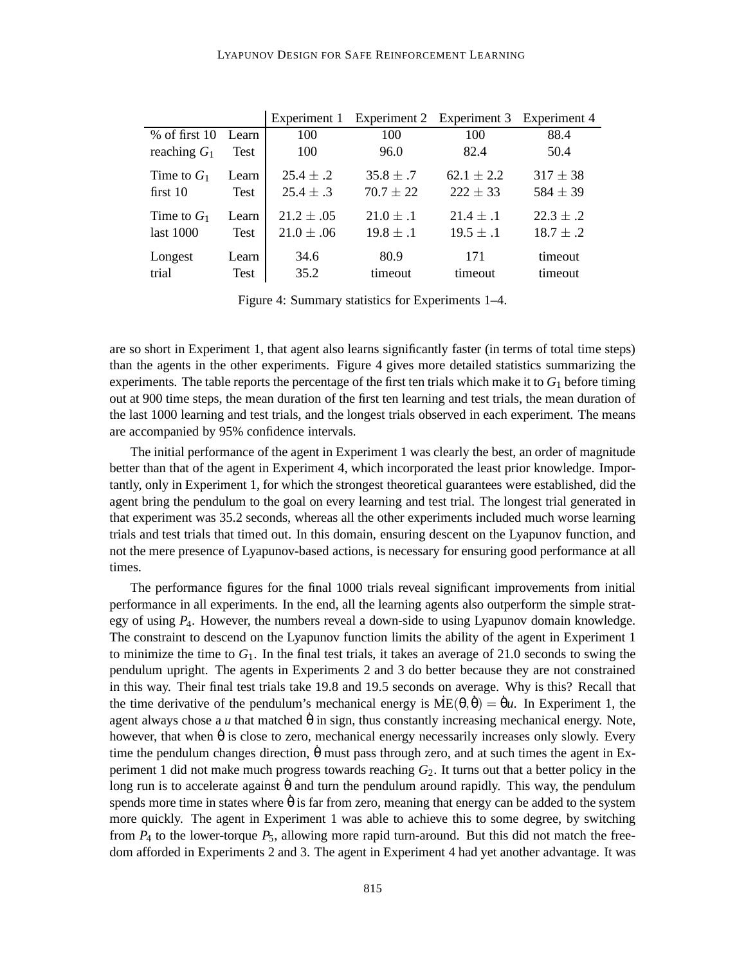|                             |                      | Experiment 1                   |                                | Experiment 2 Experiment 3 Experiment 4 |                              |
|-----------------------------|----------------------|--------------------------------|--------------------------------|----------------------------------------|------------------------------|
| $%$ of first 10             | Learn                | 100                            | 100                            | 100                                    | 88.4                         |
| reaching $G_1$              | Test                 | 100                            | 96.0                           | 82.4                                   | 50.4                         |
| Time to $G_1$<br>first $10$ | Learn<br><b>Test</b> | $25.4 \pm .2$<br>$25.4 \pm .3$ | $35.8 \pm .7$<br>$70.7 \pm 22$ | $62.1 \pm 2.2$<br>$222 \pm 33$         | $317 \pm 38$<br>$584 \pm 39$ |
| Time to $G_1$               | Learn                | $21.2 \pm .05$                 | $21.0 \pm .1$                  | $21.4 \pm .1$                          | $22.3 \pm .2$                |
| last 1000                   | <b>Test</b>          | $21.0 \pm .06$                 | $19.8 \pm .1$                  | $19.5 \pm .1$                          | $18.7 \pm .2$                |
| Longest                     | Learn                | 34.6                           | 80.9                           | 171                                    | timeout                      |
| trial                       | <b>Test</b>          | 35.2                           | timeout                        | timeout                                | timeout                      |

Figure 4: Summary statistics for Experiments 1–4.

are so short in Experiment 1, that agent also learns significantly faster (in terms of total time steps) than the agents in the other experiments. Figure 4 gives more detailed statistics summarizing the experiments. The table reports the percentage of the first ten trials which make it to  $G_1$  before timing out at 900 time steps, the mean duration of the first ten learning and test trials, the mean duration of the last 1000 learning and test trials, and the longest trials observed in each experiment. The means are accompanied by 95% confidence intervals.

The initial performance of the agent in Experiment 1 was clearly the best, an order of magnitude better than that of the agent in Experiment 4, which incorporated the least prior knowledge. Importantly, only in Experiment 1, for which the strongest theoretical guarantees were established, did the agent bring the pendulum to the goal on every learning and test trial. The longest trial generated in that experiment was 35.2 seconds, whereas all the other experiments included much worse learning trials and test trials that timed out. In this domain, ensuring descent on the Lyapunov function, and not the mere presence of Lyapunov-based actions, is necessary for ensuring good performance at all times.

The performance figures for the final 1000 trials reveal significant improvements from initial performance in all experiments. In the end, all the learning agents also outperform the simple strategy of using *P*4. However, the numbers reveal a down-side to using Lyapunov domain knowledge. The constraint to descend on the Lyapunov function limits the ability of the agent in Experiment 1 to minimize the time to  $G_1$ . In the final test trials, it takes an average of 21.0 seconds to swing the pendulum upright. The agents in Experiments 2 and 3 do better because they are not constrained in this way. Their final test trials take 19.8 and 19.5 seconds on average. Why is this? Recall that the time derivative of the pendulum's mechanical energy is  $\dot{ME}(\theta, \dot{\theta}) = \dot{\theta}u$ . In Experiment 1, the agent always chose a  $u$  that matched  $\hat{\theta}$  in sign, thus constantly increasing mechanical energy. Note, however, that when  $\dot{\theta}$  is close to zero, mechanical energy necessarily increases only slowly. Every time the pendulum changes direction,  $\dot{\theta}$  must pass through zero, and at such times the agent in Experiment 1 did not make much progress towards reaching *G*2. It turns out that a better policy in the long run is to accelerate against θ and turn the pendulum around rapidly. This way, the pendulum spends more time in states where  $\dot{\theta}$  is far from zero, meaning that energy can be added to the system more quickly. The agent in Experiment 1 was able to achieve this to some degree, by switching from  $P_4$  to the lower-torque  $P_5$ , allowing more rapid turn-around. But this did not match the freedom afforded in Experiments 2 and 3. The agent in Experiment 4 had yet another advantage. It was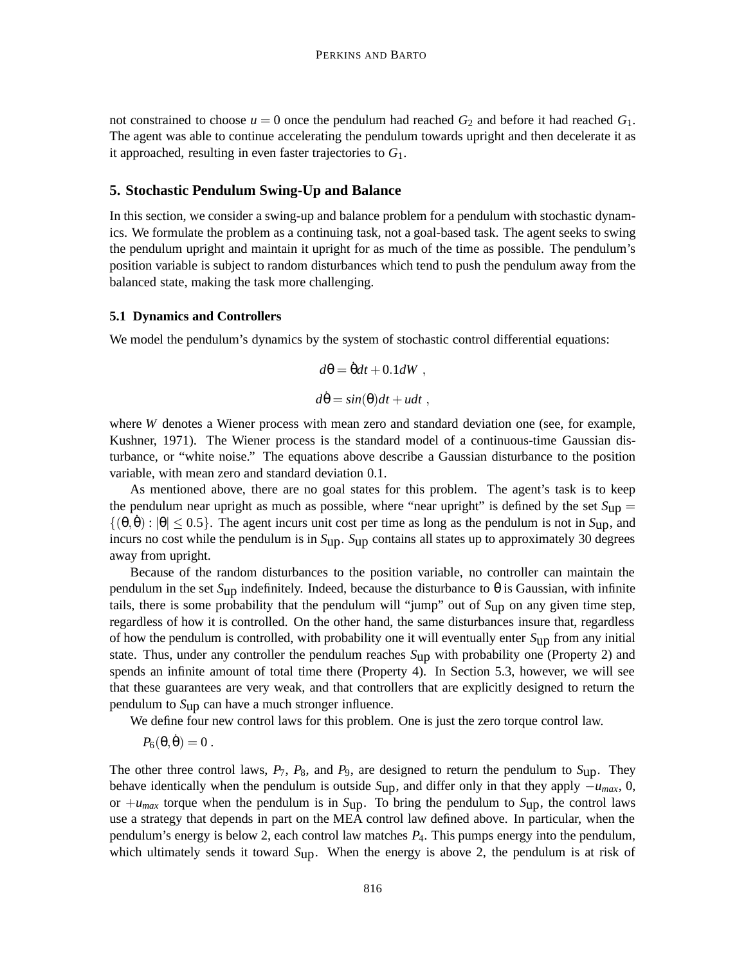not constrained to choose  $u = 0$  once the pendulum had reached  $G_2$  and before it had reached  $G_1$ . The agent was able to continue accelerating the pendulum towards upright and then decelerate it as it approached, resulting in even faster trajectories to *G*1.

# **5. Stochastic Pendulum Swing-Up and Balance**

In this section, we consider a swing-up and balance problem for a pendulum with stochastic dynamics. We formulate the problem as a continuing task, not a goal-based task. The agent seeks to swing the pendulum upright and maintain it upright for as much of the time as possible. The pendulum's position variable is subject to random disturbances which tend to push the pendulum away from the balanced state, making the task more challenging.

#### **5.1 Dynamics and Controllers**

We model the pendulum's dynamics by the system of stochastic control differential equations:

$$
d\theta = \dot{\theta}dt + 0.1dW,
$$
  

$$
d\dot{\theta} = \sin(\theta)dt + u dt,
$$

where *W* denotes a Wiener process with mean zero and standard deviation one (see, for example, Kushner, 1971). The Wiener process is the standard model of a continuous-time Gaussian disturbance, or "white noise." The equations above describe a Gaussian disturbance to the position variable, with mean zero and standard deviation 0.1.

As mentioned above, there are no goal states for this problem. The agent's task is to keep the pendulum near upright as much as possible, where "near upright" is defined by the set  $S_{\text{up}} =$  $\{(\theta, \dot{\theta}) : |\theta| \le 0.5\}$ . The agent incurs unit cost per time as long as the pendulum is not in *S*up, and incurs no cost while the pendulum is in *S*up. *S*up contains all states up to approximately 30 degrees away from upright.

Because of the random disturbances to the position variable, no controller can maintain the pendulum in the set *S*up indefinitely. Indeed, because the disturbance to θ is Gaussian, with infinite tails, there is some probability that the pendulum will "jump" out of *S*up on any given time step, regardless of how it is controlled. On the other hand, the same disturbances insure that, regardless of how the pendulum is controlled, with probability one it will eventually enter *S*up from any initial state. Thus, under any controller the pendulum reaches *S*up with probability one (Property 2) and spends an infinite amount of total time there (Property 4). In Section 5.3, however, we will see that these guarantees are very weak, and that controllers that are explicitly designed to return the pendulum to *S*up can have a much stronger influence.

We define four new control laws for this problem. One is just the zero torque control law.

 $P_6(\theta, \dot{\theta}) = 0$ .

The other three control laws,  $P_7$ ,  $P_8$ , and  $P_9$ , are designed to return the pendulum to  $S_{\text{up}}$ . They behave identically when the pendulum is outside  $S_{\text{up}}$ , and differ only in that they apply  $-u_{max}$ , 0, or  $+u_{max}$  torque when the pendulum is in  $S_{up}$ . To bring the pendulum to  $S_{up}$ , the control laws use a strategy that depends in part on the MEA control law defined above. In particular, when the pendulum's energy is below 2, each control law matches *P*4. This pumps energy into the pendulum, which ultimately sends it toward  $S_{UD}$ . When the energy is above 2, the pendulum is at risk of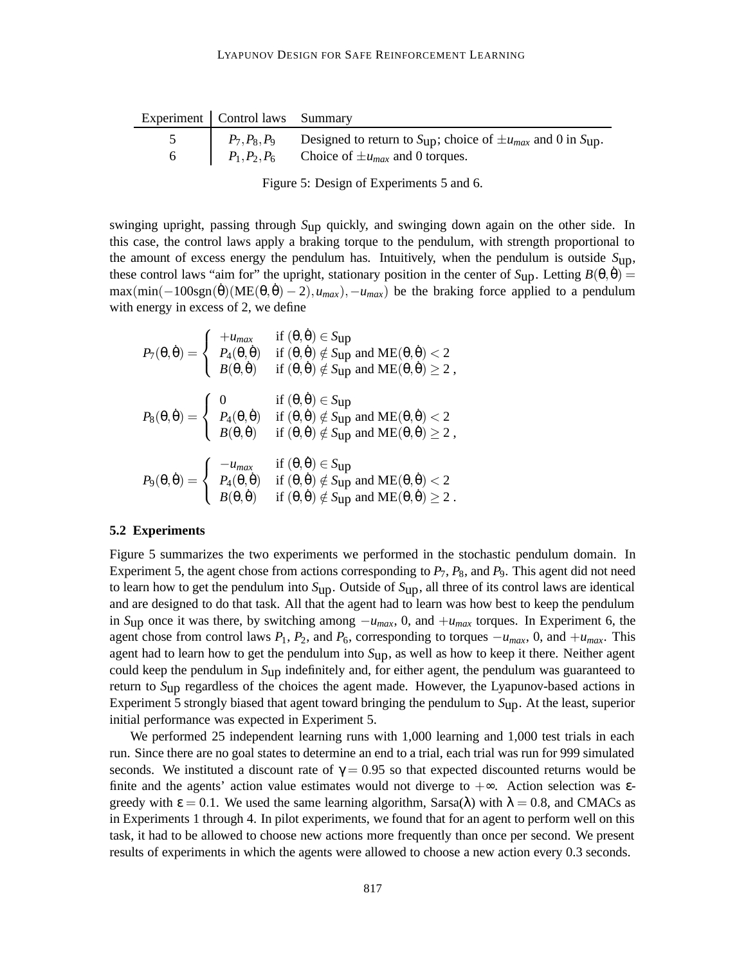| Experiment   Control laws Summary |                                                                                                            |
|-----------------------------------|------------------------------------------------------------------------------------------------------------|
|                                   | $P_7, P_8, P_9$ Designed to return to S <sub>up</sub> ; choice of $\pm u_{max}$ and 0 in S <sub>up</sub> . |
|                                   | $P_1, P_2, P_6$ Choice of $\pm u_{max}$ and 0 torques.                                                     |

Figure 5: Design of Experiments 5 and 6.

swinging upright, passing through *S*up quickly, and swinging down again on the other side. In this case, the control laws apply a braking torque to the pendulum, with strength proportional to the amount of excess energy the pendulum has. Intuitively, when the pendulum is outside *S*up, these control laws "aim for" the upright, stationary position in the center of  $S_{UD}$ . Letting  $B(\theta, \dot{\theta}) =$  $\max(\min(-100\text{sgn}(\dot{\theta})(ME(\theta, \dot{\theta}) - 2), u_{max}), -u_{max})$  be the braking force applied to a pendulum with energy in excess of 2, we define

$$
P_7(\theta, \dot{\theta}) = \begin{cases} +u_{max} & \text{if } (\theta, \dot{\theta}) \in \text{Sup} \\ P_4(\theta, \dot{\theta}) & \text{if } (\theta, \dot{\theta}) \notin \text{Sup and ME}(\theta, \dot{\theta}) < 2 \\ B(\theta, \dot{\theta}) & \text{if } (\theta, \dot{\theta}) \notin \text{Sup and ME}(\theta, \dot{\theta}) \ge 2, \end{cases}
$$

$$
P_8(\theta, \dot{\theta}) = \begin{cases} 0 & \text{if } (\theta, \dot{\theta}) \in \text{Sup} \\ P_4(\theta, \dot{\theta}) & \text{if } (\theta, \dot{\theta}) \notin \text{Sup and ME}(\theta, \dot{\theta}) < 2 \\ B(\theta, \dot{\theta}) & \text{if } (\theta, \dot{\theta}) \notin \text{Sup and ME}(\theta, \dot{\theta}) \ge 2, \end{cases}
$$

$$
P_9(\theta, \dot{\theta}) = \begin{cases} -u_{max} & \text{if } (\theta, \dot{\theta}) \in \text{Sup} \\ P_4(\theta, \dot{\theta}) & \text{if } (\theta, \dot{\theta}) \notin \text{Sup and ME}(\theta, \dot{\theta}) < 2 \\ B(\theta, \dot{\theta}) & \text{if } (\theta, \dot{\theta}) \notin \text{Sup and ME}(\theta, \dot{\theta}) \ge 2. \end{cases}
$$

#### **5.2 Experiments**

Figure 5 summarizes the two experiments we performed in the stochastic pendulum domain. In Experiment 5, the agent chose from actions corresponding to  $P_7$ ,  $P_8$ , and  $P_9$ . This agent did not need to learn how to get the pendulum into *S*up. Outside of *S*up, all three of its control laws are identical and are designed to do that task. All that the agent had to learn was how best to keep the pendulum in *S*up once it was there, by switching among −*umax*, 0, and +*umax* torques. In Experiment 6, the agent chose from control laws  $P_1$ ,  $P_2$ , and  $P_6$ , corresponding to torques  $-u_{max}$ , 0, and  $+u_{max}$ . This agent had to learn how to get the pendulum into *S*up, as well as how to keep it there. Neither agent could keep the pendulum in *S*up indefinitely and, for either agent, the pendulum was guaranteed to return to *S*up regardless of the choices the agent made. However, the Lyapunov-based actions in Experiment 5 strongly biased that agent toward bringing the pendulum to *S*up. At the least, superior initial performance was expected in Experiment 5.

We performed 25 independent learning runs with 1,000 learning and 1,000 test trials in each run. Since there are no goal states to determine an end to a trial, each trial was run for 999 simulated seconds. We instituted a discount rate of  $\gamma = 0.95$  so that expected discounted returns would be finite and the agents' action value estimates would not diverge to  $+\infty$ . Action selection was  $\varepsilon$ greedy with  $\varepsilon = 0.1$ . We used the same learning algorithm, Sarsa( $\lambda$ ) with  $\lambda = 0.8$ , and CMACs as in Experiments 1 through 4. In pilot experiments, we found that for an agent to perform well on this task, it had to be allowed to choose new actions more frequently than once per second. We present results of experiments in which the agents were allowed to choose a new action every 0.3 seconds.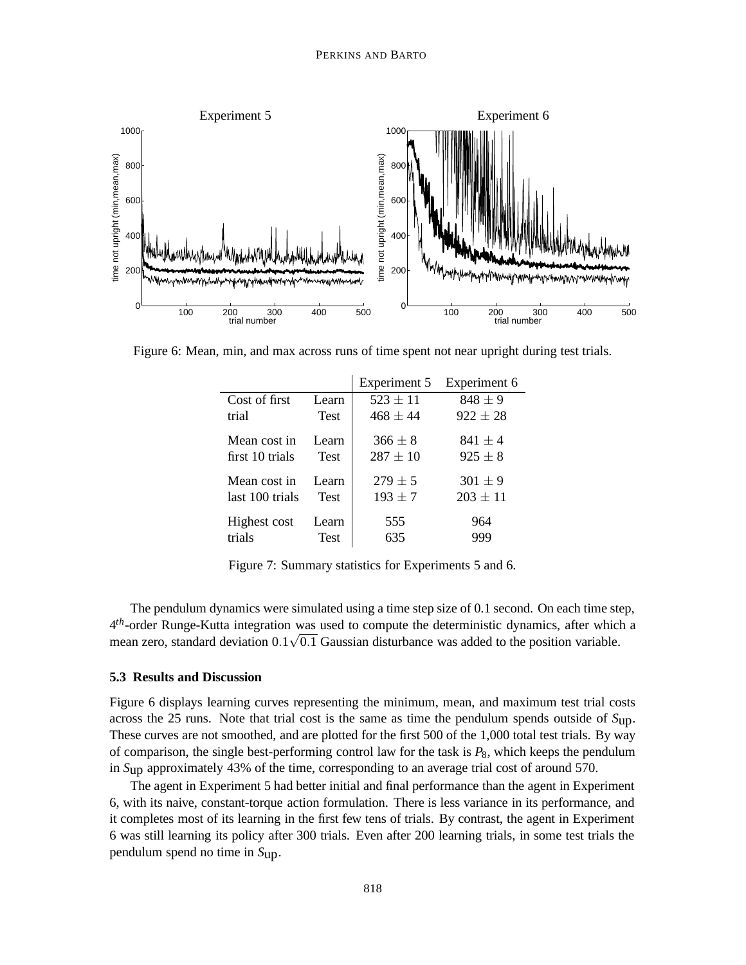

Figure 6: Mean, min, and max across runs of time spent not near upright during test trials.

|                 |             | Experiment 5 | Experiment 6 |
|-----------------|-------------|--------------|--------------|
| Cost of first   | Learn       | $523 \pm 11$ | $848 \pm 9$  |
| trial           | <b>Test</b> | $468 + 44$   | $922 \pm 28$ |
| Mean cost in    | Learn       | $366 \pm 8$  | $841 \pm 4$  |
| first 10 trials | Test        | $287 \pm 10$ | $925 \pm 8$  |
| Mean cost in    | Learn       | $279 \pm 5$  | $301 \pm 9$  |
| last 100 trials | <b>Test</b> | $193 \pm 7$  | $203 \pm 11$ |
| Highest cost    | Learn       | 555          | 964          |
| trials          | Test        | 635          | 999          |

Figure 7: Summary statistics for Experiments 5 and 6.

The pendulum dynamics were simulated using a time step size of 0.1 second. On each time step, 4*th*-order Runge-Kutta integration was used to compute the deterministic dynamics, after which a  $\alpha$  -order Runge-Rutta integration was used to compute the deterministic dynamics, after which<br>mean zero, standard deviation  $0.1\sqrt{0.1}$  Gaussian disturbance was added to the position variable.

#### **5.3 Results and Discussion**

Figure 6 displays learning curves representing the minimum, mean, and maximum test trial costs across the 25 runs. Note that trial cost is the same as time the pendulum spends outside of *S*up. These curves are not smoothed, and are plotted for the first 500 of the 1,000 total test trials. By way of comparison, the single best-performing control law for the task is *P*8, which keeps the pendulum in *S*up approximately 43% of the time, corresponding to an average trial cost of around 570.

The agent in Experiment 5 had better initial and final performance than the agent in Experiment 6, with its naive, constant-torque action formulation. There is less variance in its performance, and it completes most of its learning in the first few tens of trials. By contrast, the agent in Experiment 6 was still learning its policy after 300 trials. Even after 200 learning trials, in some test trials the pendulum spend no time in *S*up.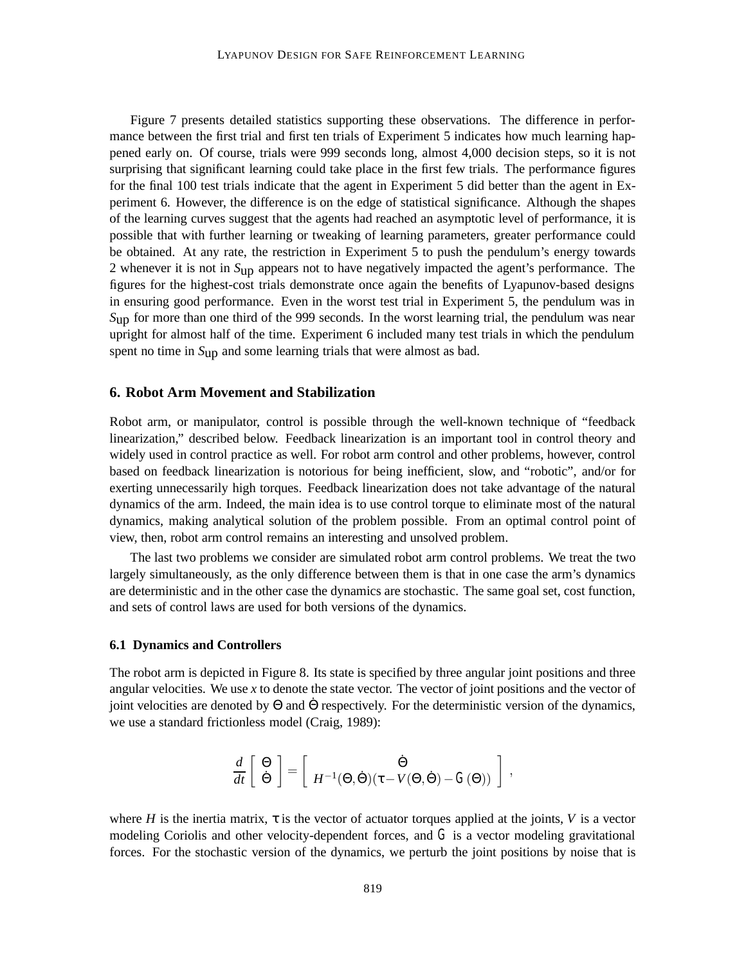Figure 7 presents detailed statistics supporting these observations. The difference in performance between the first trial and first ten trials of Experiment 5 indicates how much learning happened early on. Of course, trials were 999 seconds long, almost 4,000 decision steps, so it is not surprising that significant learning could take place in the first few trials. The performance figures for the final 100 test trials indicate that the agent in Experiment 5 did better than the agent in Experiment 6. However, the difference is on the edge of statistical significance. Although the shapes of the learning curves suggest that the agents had reached an asymptotic level of performance, it is possible that with further learning or tweaking of learning parameters, greater performance could be obtained. At any rate, the restriction in Experiment 5 to push the pendulum's energy towards 2 whenever it is not in *S*up appears not to have negatively impacted the agent's performance. The figures for the highest-cost trials demonstrate once again the benefits of Lyapunov-based designs in ensuring good performance. Even in the worst test trial in Experiment 5, the pendulum was in *S*up for more than one third of the 999 seconds. In the worst learning trial, the pendulum was near upright for almost half of the time. Experiment 6 included many test trials in which the pendulum spent no time in *S*up and some learning trials that were almost as bad.

### **6. Robot Arm Movement and Stabilization**

Robot arm, or manipulator, control is possible through the well-known technique of "feedback linearization," described below. Feedback linearization is an important tool in control theory and widely used in control practice as well. For robot arm control and other problems, however, control based on feedback linearization is notorious for being inefficient, slow, and "robotic", and/or for exerting unnecessarily high torques. Feedback linearization does not take advantage of the natural dynamics of the arm. Indeed, the main idea is to use control torque to eliminate most of the natural dynamics, making analytical solution of the problem possible. From an optimal control point of view, then, robot arm control remains an interesting and unsolved problem.

The last two problems we consider are simulated robot arm control problems. We treat the two largely simultaneously, as the only difference between them is that in one case the arm's dynamics are deterministic and in the other case the dynamics are stochastic. The same goal set, cost function, and sets of control laws are used for both versions of the dynamics.

#### **6.1 Dynamics and Controllers**

The robot arm is depicted in Figure 8. Its state is specified by three angular joint positions and three angular velocities. We use *x* to denote the state vector. The vector of joint positions and the vector of joint velocities are denoted by  $\Theta$  and  $\dot{\Theta}$  respectively. For the deterministic version of the dynamics, we use a standard frictionless model (Craig, 1989):

$$
\frac{d}{dt} \begin{bmatrix} \Theta \\ \dot{\Theta} \end{bmatrix} = \begin{bmatrix} \dot{\Theta} \\ H^{-1}(\Theta, \dot{\Theta}) (\tau - V(\Theta, \dot{\Theta}) - G(\Theta)) \end{bmatrix},
$$

where *H* is the inertia matrix,  $\tau$  is the vector of actuator torques applied at the joints, *V* is a vector modeling Coriolis and other velocity-dependent forces, and  $G$  is a vector modeling gravitational forces. For the stochastic version of the dynamics, we perturb the joint positions by noise that is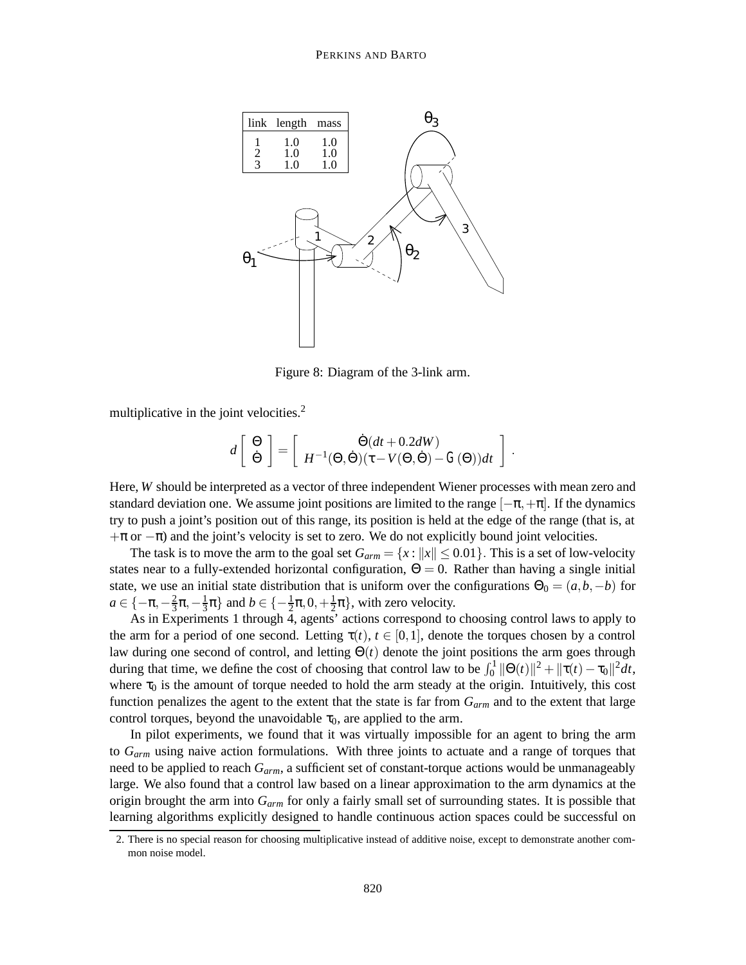

Figure 8: Diagram of the 3-link arm.

multiplicative in the joint velocities.<sup>2</sup>

$$
d\left[\begin{array}{c} \Theta \\ \dot{\Theta} \end{array}\right] = \left[\begin{array}{c} \dot{\Theta}(dt + 0.2dW) \\ H^{-1}(\Theta, \dot{\Theta})(\tau - V(\Theta, \dot{\Theta}) - G(\Theta))dt \end{array}\right] .
$$

Here, *W* should be interpreted as a vector of three independent Wiener processes with mean zero and standard deviation one. We assume joint positions are limited to the range  $[-\pi,+\pi]$ . If the dynamics try to push a joint's position out of this range, its position is held at the edge of the range (that is, at  $+\pi$  or  $-\pi$ ) and the joint's velocity is set to zero. We do not explicitly bound joint velocities.

The task is to move the arm to the goal set  $G_{arm} = \{x : ||x|| \le 0.01\}$ . This is a set of low-velocity states near to a fully-extended horizontal configuration,  $\Theta = 0$ . Rather than having a single initial state, we use an initial state distribution that is uniform over the configurations  $\Theta_0 = (a, b, -b)$  for  $a \in \{-\pi, -\frac{2}{3}\pi, -\frac{1}{3}\pi\}$  and  $b \in \{-\frac{1}{2}\pi, 0, +\frac{1}{2}\pi\}$ , with zero velocity.

As in Experiments 1 through 4, agents' actions correspond to choosing control laws to apply to the arm for a period of one second. Letting  $\tau(t)$ ,  $t \in [0,1]$ , denote the torques chosen by a control law during one second of control, and letting Θ(*t*) denote the joint positions the arm goes through during that time, we define the cost of choosing that control law to be  $\int_0^1 ||\Theta(t)||^2 + ||\tau(t) - \tau_0||^2 dt$ , where  $\tau_0$  is the amount of torque needed to hold the arm steady at the origin. Intuitively, this cost function penalizes the agent to the extent that the state is far from *Garm* and to the extent that large control torques, beyond the unavoidable  $\tau_0$ , are applied to the arm.

In pilot experiments, we found that it was virtually impossible for an agent to bring the arm to *Garm* using naive action formulations. With three joints to actuate and a range of torques that need to be applied to reach *Garm*, a sufficient set of constant-torque actions would be unmanageably large. We also found that a control law based on a linear approximation to the arm dynamics at the origin brought the arm into *Garm* for only a fairly small set of surrounding states. It is possible that learning algorithms explicitly designed to handle continuous action spaces could be successful on

<sup>2.</sup> There is no special reason for choosing multiplicative instead of additive noise, except to demonstrate another common noise model.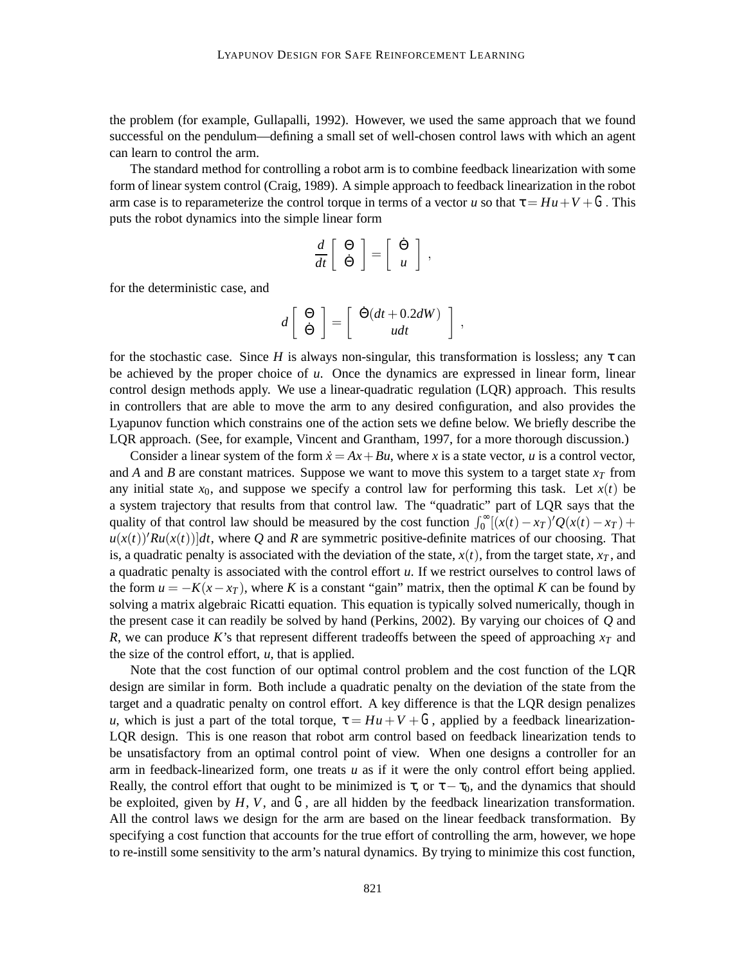the problem (for example, Gullapalli, 1992). However, we used the same approach that we found successful on the pendulum—defining a small set of well-chosen control laws with which an agent can learn to control the arm.

The standard method for controlling a robot arm is to combine feedback linearization with some form of linear system control (Craig, 1989). A simple approach to feedback linearization in the robot arm case is to reparameterize the control torque in terms of a vector *u* so that  $\tau = Hu + V + G$ . This puts the robot dynamics into the simple linear form

$$
\frac{d}{dt} \left[ \begin{array}{c} \Theta \\ \dot{\Theta} \end{array} \right] = \left[ \begin{array}{c} \dot{\Theta} \\ u \end{array} \right] ,
$$

for the deterministic case, and

$$
d\left[\begin{array}{c}\Theta\\ \dot{\Theta}\end{array}\right]=\left[\begin{array}{c}\dot{\Theta}(dt+0.2dW)\\ udt\end{array}\right],
$$

for the stochastic case. Since *H* is always non-singular, this transformation is lossless; any  $\tau$  can be achieved by the proper choice of *u*. Once the dynamics are expressed in linear form, linear control design methods apply. We use a linear-quadratic regulation (LQR) approach. This results in controllers that are able to move the arm to any desired configuration, and also provides the Lyapunov function which constrains one of the action sets we define below. We briefly describe the LQR approach. (See, for example, Vincent and Grantham, 1997, for a more thorough discussion.)

Consider a linear system of the form  $\dot{x} = Ax + Bu$ , where *x* is a state vector, *u* is a control vector, and *A* and *B* are constant matrices. Suppose we want to move this system to a target state  $x_T$  from any initial state  $x_0$ , and suppose we specify a control law for performing this task. Let  $x(t)$  be a system trajectory that results from that control law. The "quadratic" part of LQR says that the quality of that control law should be measured by the cost function  $\int_0^\infty [(\dot{x}(t) - x_T)'Q(x(t) - x_T) +$  $u(x(t))'Ru(x(t))]dt$ , where Q and R are symmetric positive-definite matrices of our choosing. That is, a quadratic penalty is associated with the deviation of the state,  $x(t)$ , from the target state,  $x<sub>T</sub>$ , and a quadratic penalty is associated with the control effort *u*. If we restrict ourselves to control laws of the form  $u = -K(x - x_T)$ , where *K* is a constant "gain" matrix, then the optimal *K* can be found by solving a matrix algebraic Ricatti equation. This equation is typically solved numerically, though in the present case it can readily be solved by hand (Perkins, 2002). By varying our choices of *Q* and *R*, we can produce *K*'s that represent different tradeoffs between the speed of approaching  $x_T$  and the size of the control effort,  $u$ , that is applied.

Note that the cost function of our optimal control problem and the cost function of the LQR design are similar in form. Both include a quadratic penalty on the deviation of the state from the target and a quadratic penalty on control effort. A key difference is that the LQR design penalizes *u*, which is just a part of the total torque,  $\tau = Hu + V + G$ , applied by a feedback linearization-LQR design. This is one reason that robot arm control based on feedback linearization tends to be unsatisfactory from an optimal control point of view. When one designs a controller for an arm in feedback-linearized form, one treats *u* as if it were the only control effort being applied. Really, the control effort that ought to be minimized is  $\tau$ , or  $\tau - \tau_0$ , and the dynamics that should be exploited, given by  $H$ ,  $V$ , and  $G$ , are all hidden by the feedback linearization transformation. All the control laws we design for the arm are based on the linear feedback transformation. By specifying a cost function that accounts for the true effort of controlling the arm, however, we hope to re-instill some sensitivity to the arm's natural dynamics. By trying to minimize this cost function,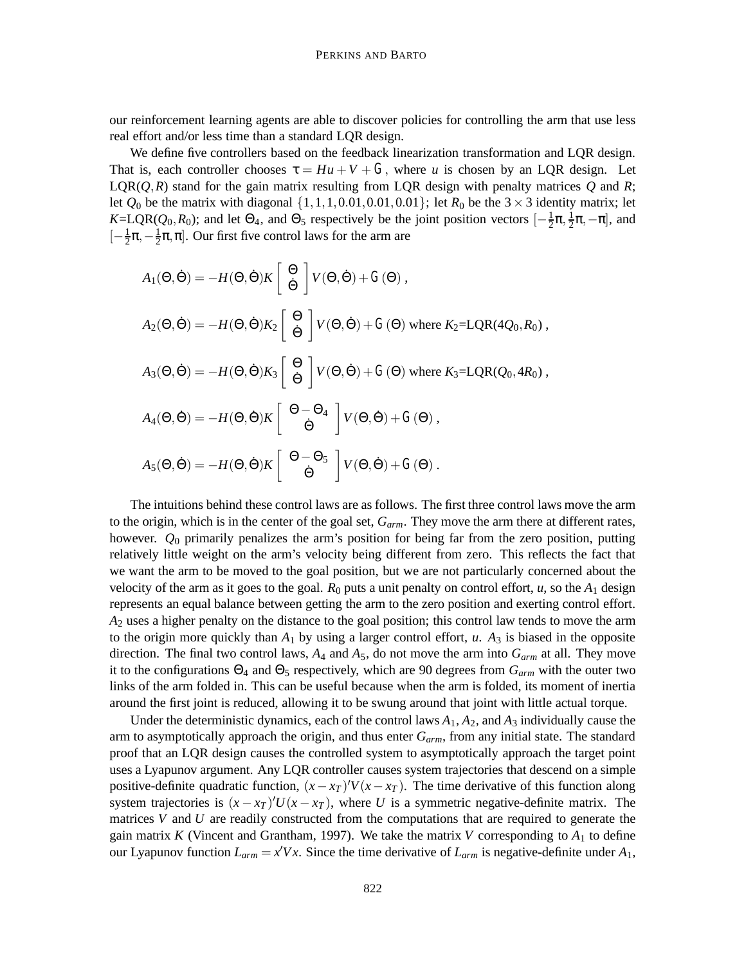our reinforcement learning agents are able to discover policies for controlling the arm that use less real effort and/or less time than a standard LQR design.

We define five controllers based on the feedback linearization transformation and LQR design. That is, each controller chooses  $\tau = Hu + V + G$ , where *u* is chosen by an LOR design. Let  $LQR(Q,R)$  stand for the gain matrix resulting from LQR design with penalty matrices  $Q$  and  $R$ ; let  $Q_0$  be the matrix with diagonal  $\{1,1,1,0.01,0.01,0.01\}$ ; let  $R_0$  be the  $3 \times 3$  identity matrix; let  $K=LQR(Q_0, R_0)$ ; and let  $\Theta_4$ , and  $\Theta_5$  respectively be the joint position vectors  $[-\frac{1}{2}\pi, \frac{1}{2}\pi, -\pi]$ , and  $[-\frac{1}{2}\pi, -\frac{1}{2}\pi, \pi]$ . Our first five control laws for the arm are

$$
A_1(\Theta, \dot{\Theta}) = -H(\Theta, \dot{\Theta})K \begin{bmatrix} \Theta \\ \dot{\Theta} \end{bmatrix} V(\Theta, \dot{\Theta}) + G(\Theta),
$$
  
\n
$$
A_2(\Theta, \dot{\Theta}) = -H(\Theta, \dot{\Theta})K_2 \begin{bmatrix} \Theta \\ \dot{\Theta} \end{bmatrix} V(\Theta, \dot{\Theta}) + G(\Theta) \text{ where } K_2 = \text{LQR}(4Q_0, R_0),
$$
  
\n
$$
A_3(\Theta, \dot{\Theta}) = -H(\Theta, \dot{\Theta})K_3 \begin{bmatrix} \Theta \\ \dot{\Theta} \end{bmatrix} V(\Theta, \dot{\Theta}) + G(\Theta) \text{ where } K_3 = \text{LQR}(Q_0, 4R_0),
$$
  
\n
$$
A_4(\Theta, \dot{\Theta}) = -H(\Theta, \dot{\Theta})K \begin{bmatrix} \Theta - \Theta_4 \\ \dot{\Theta} \end{bmatrix} V(\Theta, \dot{\Theta}) + G(\Theta),
$$
  
\n
$$
A_5(\Theta, \dot{\Theta}) = -H(\Theta, \dot{\Theta})K \begin{bmatrix} \Theta - \Theta_5 \\ \dot{\Theta} \end{bmatrix} V(\Theta, \dot{\Theta}) + G(\Theta).
$$

The intuitions behind these control laws are as follows. The first three control laws move the arm to the origin, which is in the center of the goal set, *Garm*. They move the arm there at different rates, however. *Q*<sup>0</sup> primarily penalizes the arm's position for being far from the zero position, putting relatively little weight on the arm's velocity being different from zero. This reflects the fact that we want the arm to be moved to the goal position, but we are not particularly concerned about the velocity of the arm as it goes to the goal.  $R_0$  puts a unit penalty on control effort,  $u$ , so the  $A_1$  design represents an equal balance between getting the arm to the zero position and exerting control effort. *A*<sup>2</sup> uses a higher penalty on the distance to the goal position; this control law tends to move the arm to the origin more quickly than  $A_1$  by using a larger control effort,  $u$ .  $A_3$  is biased in the opposite direction. The final two control laws,  $A_4$  and  $A_5$ , do not move the arm into  $G_{arm}$  at all. They move it to the configurations  $\Theta_4$  and  $\Theta_5$  respectively, which are 90 degrees from  $G_{arm}$  with the outer two links of the arm folded in. This can be useful because when the arm is folded, its moment of inertia around the first joint is reduced, allowing it to be swung around that joint with little actual torque.

Under the deterministic dynamics, each of the control laws  $A_1$ ,  $A_2$ , and  $A_3$  individually cause the arm to asymptotically approach the origin, and thus enter  $G_{arm}$ , from any initial state. The standard proof that an LQR design causes the controlled system to asymptotically approach the target point uses a Lyapunov argument. Any LQR controller causes system trajectories that descend on a simple positive-definite quadratic function,  $(x - x_T)'V(x - x_T)$ . The time derivative of this function along system trajectories is  $(x - x_T)U(x - x_T)$ , where *U* is a symmetric negative-definite matrix. The matrices *V* and *U* are readily constructed from the computations that are required to generate the gain matrix *K* (Vincent and Grantham, 1997). We take the matrix *V* corresponding to  $A_1$  to define our Lyapunov function  $L_{arm} = x'Vx$ . Since the time derivative of  $L_{arm}$  is negative-definite under  $A_1$ ,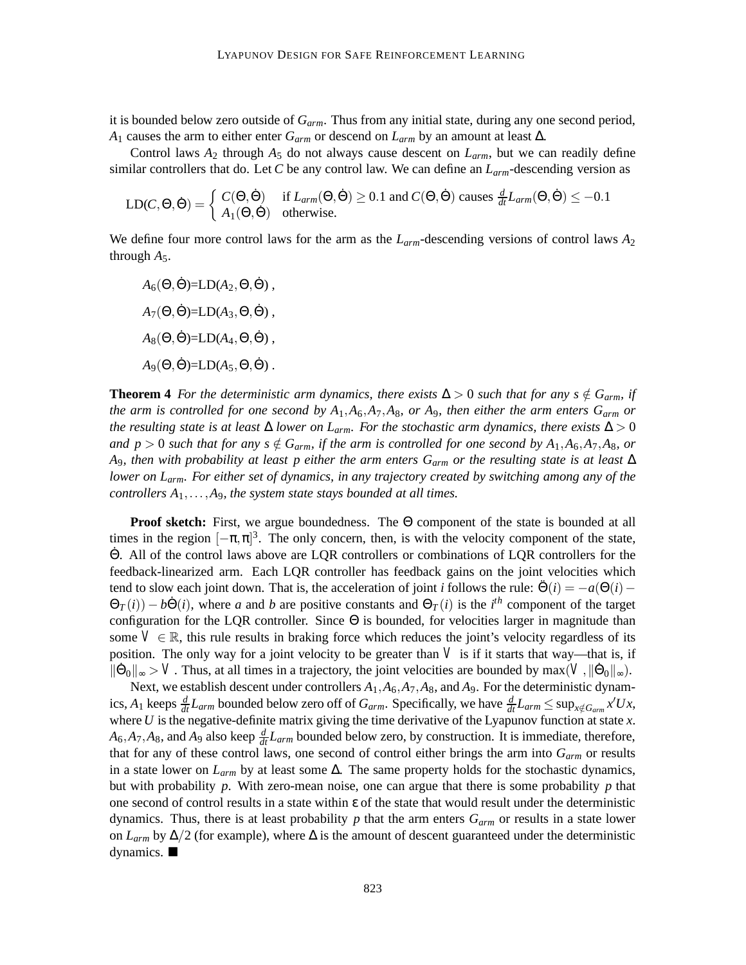it is bounded below zero outside of *Garm*. Thus from any initial state, during any one second period, *A*<sup>1</sup> causes the arm to either enter *Garm* or descend on *Larm* by an amount at least ∆.

Control laws  $A_2$  through  $A_5$  do not always cause descent on  $L_{arm}$ , but we can readily define similar controllers that do. Let *C* be any control law. We can define an *Larm*-descending version as

$$
LD(C, \Theta, \dot{\Theta}) = \begin{cases} C(\Theta, \dot{\Theta}) & \text{if } L_{arm}(\Theta, \dot{\Theta}) \ge 0.1 \text{ and } C(\Theta, \dot{\Theta}) \text{ causes } \frac{d}{dt} L_{arm}(\Theta, \dot{\Theta}) \le -0.1\\ A_1(\Theta, \dot{\Theta}) & \text{otherwise.} \end{cases}
$$

We define four more control laws for the arm as the *Larm*-descending versions of control laws *A*<sup>2</sup> through  $A_5$ .

 $A_6(\Theta, \dot{\Theta}) = L D(A_2, \Theta, \dot{\Theta})$ ,  $A_7(\Theta, \dot{\Theta}) = L D(A_3, \Theta, \dot{\Theta})$ ,  $A_8(\Theta, \dot{\Theta}) = L D(A_4, \Theta, \dot{\Theta})$ ,  $A_9(\Theta, \dot{\Theta}) = L D(A_5, \Theta, \dot{\Theta})$ .

**Theorem 4** *For the deterministic arm dynamics, there exists*  $\Delta > 0$  *such that for any s*  $\notin$  *G<sub>arm</sub>, if the arm is controlled for one second by A*1,*A*6,*A*7,*A*8*, or A*9*, then either the arm enters Garm or the resulting state is at least*  $\Delta$  *lower on L<sub>arm</sub>. For the stochastic arm dynamics, there exists*  $\Delta > 0$ *and p* > 0 *such that for any s*  $\notin G_{arm}$ , *if the arm is controlled for one second by*  $A_1, A_6, A_7, A_8$ *, or A*9*, then with probability at least p either the arm enters Garm or the resulting state is at least* ∆ *lower on Larm. For either set of dynamics, in any trajectory created by switching among any of the controllers*  $A_1$ ,..., $A_9$ *, the system state stays bounded at all times.* 

**Proof sketch:** First, we argue boundedness. The Θ component of the state is bounded at all times in the region  $[-\pi,\pi]^3$ . The only concern, then, is with the velocity component of the state, Θ˙ . All of the control laws above are LQR controllers or combinations of LQR controllers for the feedback-linearized arm. Each LQR controller has feedback gains on the joint velocities which tend to slow each joint down. That is, the acceleration of joint *i* follows the rule:  $\ddot{\Theta}(i) = -a(\Theta(i) \Theta_T(i) - b\dot{\Theta}(i)$ , where *a* and *b* are positive constants and  $\Theta_T(i)$  is the *i*<sup>th</sup> component of the target configuration for the LQR controller. Since  $\Theta$  is bounded, for velocities larger in magnitude than some  $V \in \mathbb{R}$ , this rule results in braking force which reduces the joint's velocity regardless of its position. The only way for a joint velocity to be greater than  $V$  is if it starts that way—that is, if  $\|\dot{\Theta}_0\|_{\infty} > V$ . Thus, at all times in a trajectory, the joint velocities are bounded by max( $V, \|\dot{\Theta}_0\|_{\infty}$ ).

Next, we establish descent under controllers  $A_1$ ,  $A_6$ ,  $A_7$ ,  $A_8$ , and  $A_9$ . For the deterministic dynamics,  $A_1$  keeps  $\frac{d}{dt}L_{arm}$  bounded below zero off of  $G_{arm}$ . Specifically, we have  $\frac{d}{dt}L_{arm} \le \sup_{x \notin G_{arm}} x'Ux$ , where *U* is the negative-definite matrix giving the time derivative of the Lyapunov function at state *x*.  $A_6$ ,  $A_7$ ,  $A_8$ , and  $A_9$  also keep  $\frac{d}{dt}L_{arm}$  bounded below zero, by construction. It is immediate, therefore, that for any of these control laws, one second of control either brings the arm into *Garm* or results in a state lower on *Larm* by at least some ∆. The same property holds for the stochastic dynamics, but with probability *p*. With zero-mean noise, one can argue that there is some probability *p* that one second of control results in a state within ε of the state that would result under the deterministic dynamics. Thus, there is at least probability  $p$  that the arm enters  $G_{arm}$  or results in a state lower on  $L_{arm}$  by  $\Delta/2$  (for example), where  $\Delta$  is the amount of descent guaranteed under the deterministic dynamics.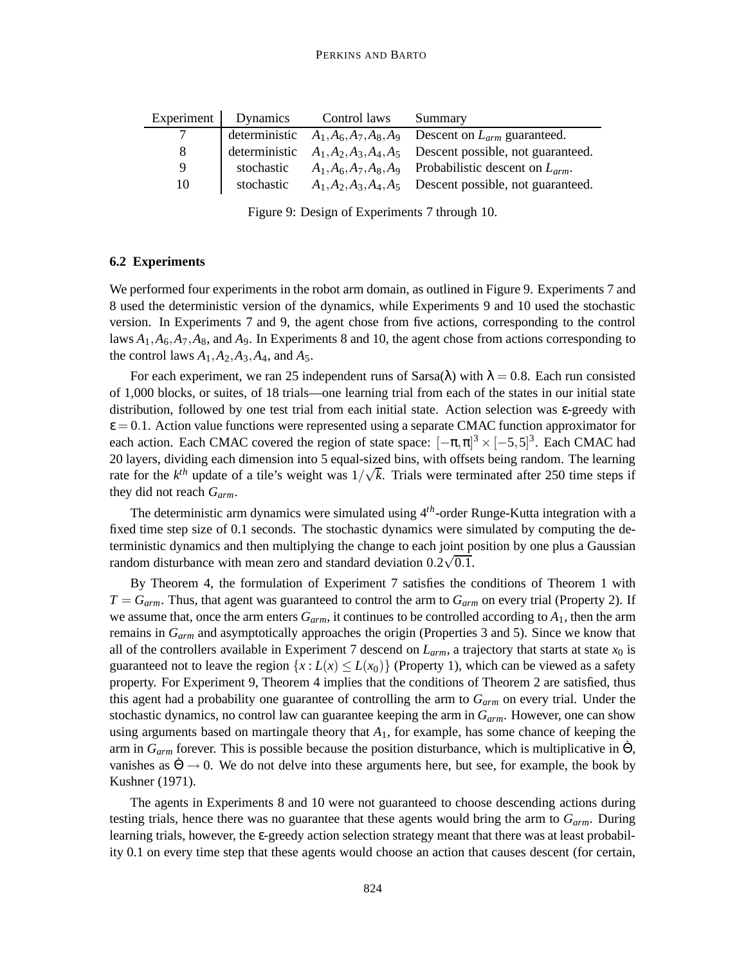| Experiment | <b>Dynamics</b> | Control laws | Summary                                                                  |
|------------|-----------------|--------------|--------------------------------------------------------------------------|
|            |                 |              | deterministic $A_1, A_6, A_7, A_8, A_9$ Descent on $L_{arm}$ guaranteed. |
| 8          | deterministic   |              | $A_1, A_2, A_3, A_4, A_5$ Descent possible, not guaranteed.              |
| Q          | stochastic      |              | $A_1, A_6, A_7, A_8, A_9$ Probabilistic descent on $L_{arm}$ .           |
| 10         | stochastic      |              | $A_1, A_2, A_3, A_4, A_5$ Descent possible, not guaranteed.              |

Figure 9: Design of Experiments 7 through 10.

# **6.2 Experiments**

We performed four experiments in the robot arm domain, as outlined in Figure 9. Experiments 7 and 8 used the deterministic version of the dynamics, while Experiments 9 and 10 used the stochastic version. In Experiments 7 and 9, the agent chose from five actions, corresponding to the control laws  $A_1, A_6, A_7, A_8$ , and  $A_9$ . In Experiments 8 and 10, the agent chose from actions corresponding to the control laws  $A_1$ ,  $A_2$ ,  $A_3$ ,  $A_4$ , and  $A_5$ .

For each experiment, we ran 25 independent runs of Sarsa( $\lambda$ ) with  $\lambda = 0.8$ . Each run consisted of 1,000 blocks, or suites, of 18 trials—one learning trial from each of the states in our initial state distribution, followed by one test trial from each initial state. Action selection was ε-greedy with  $\varepsilon$  = 0.1. Action value functions were represented using a separate CMAC function approximator for each action. Each CMAC covered the region of state space:  $[-\pi, \pi]^3 \times [-5, 5]^3$ . Each CMAC had 20 layers, dividing each dimension into 5 equal-sized bins, with offsets being random. The learning rate for the  $k^{th}$  update of a tile's weight was  $1/\sqrt{k}$ . Trials were terminated after 250 time steps if they did not reach *Garm*.

The deterministic arm dynamics were simulated using 4*th*-order Runge-Kutta integration with a fixed time step size of 0.1 seconds. The stochastic dynamics were simulated by computing the deterministic dynamics and then multiplying the change to each joint position by one plus a Gaussian random disturbance with mean zero and standard deviation  $0.2\sqrt{0.1}$ .

By Theorem 4, the formulation of Experiment 7 satisfies the conditions of Theorem 1 with  $T = G_{arm}$ . Thus, that agent was guaranteed to control the arm to  $G_{arm}$  on every trial (Property 2). If we assume that, once the arm enters  $G_{arm}$ , it continues to be controlled according to  $A_1$ , then the arm remains in *Garm* and asymptotically approaches the origin (Properties 3 and 5). Since we know that all of the controllers available in Experiment 7 descend on  $L_{arm}$ , a trajectory that starts at state  $x_0$  is guaranteed not to leave the region  $\{x : L(x) \leq L(x_0)\}$  (Property 1), which can be viewed as a safety property. For Experiment 9, Theorem 4 implies that the conditions of Theorem 2 are satisfied, thus this agent had a probability one guarantee of controlling the arm to *Garm* on every trial. Under the stochastic dynamics, no control law can guarantee keeping the arm in *Garm*. However, one can show using arguments based on martingale theory that *A*1, for example, has some chance of keeping the arm in  $G_{arm}$  forever. This is possible because the position disturbance, which is multiplicative in  $\Theta$ , vanishes as  $\dot{\Theta} \rightarrow 0$ . We do not delve into these arguments here, but see, for example, the book by Kushner (1971).

The agents in Experiments 8 and 10 were not guaranteed to choose descending actions during testing trials, hence there was no guarantee that these agents would bring the arm to *Garm*. During learning trials, however, the ε-greedy action selection strategy meant that there was at least probability 0.1 on every time step that these agents would choose an action that causes descent (for certain,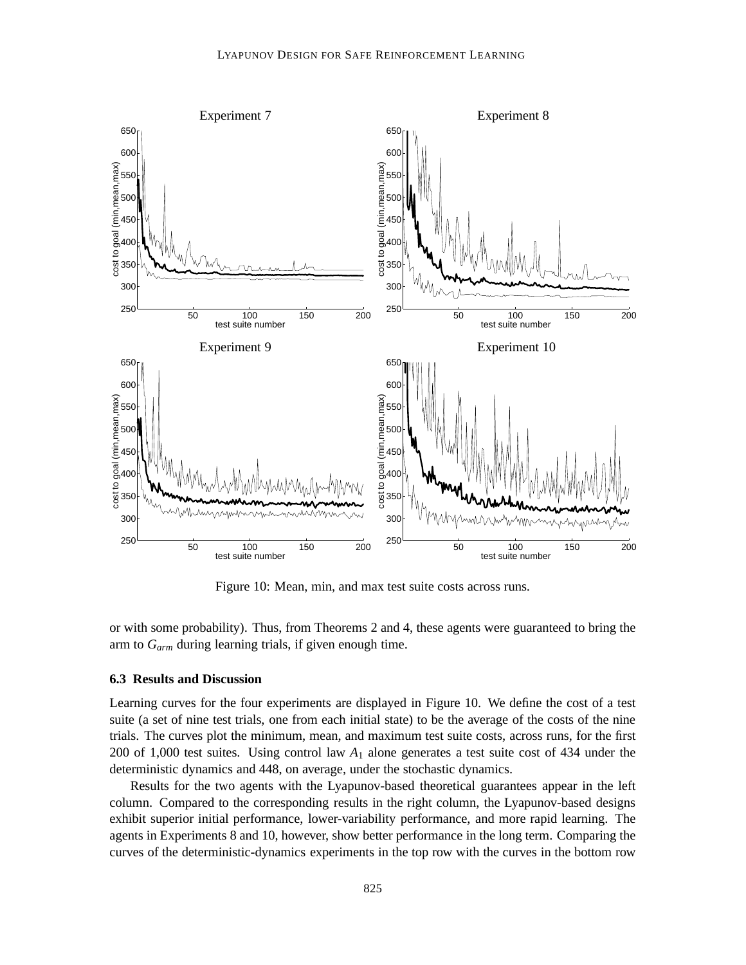

Figure 10: Mean, min, and max test suite costs across runs.

or with some probability). Thus, from Theorems 2 and 4, these agents were guaranteed to bring the arm to *Garm* during learning trials, if given enough time.

### **6.3 Results and Discussion**

Learning curves for the four experiments are displayed in Figure 10. We define the cost of a test suite (a set of nine test trials, one from each initial state) to be the average of the costs of the nine trials. The curves plot the minimum, mean, and maximum test suite costs, across runs, for the first 200 of 1,000 test suites. Using control law *A*<sup>1</sup> alone generates a test suite cost of 434 under the deterministic dynamics and 448, on average, under the stochastic dynamics.

Results for the two agents with the Lyapunov-based theoretical guarantees appear in the left column. Compared to the corresponding results in the right column, the Lyapunov-based designs exhibit superior initial performance, lower-variability performance, and more rapid learning. The agents in Experiments 8 and 10, however, show better performance in the long term. Comparing the curves of the deterministic-dynamics experiments in the top row with the curves in the bottom row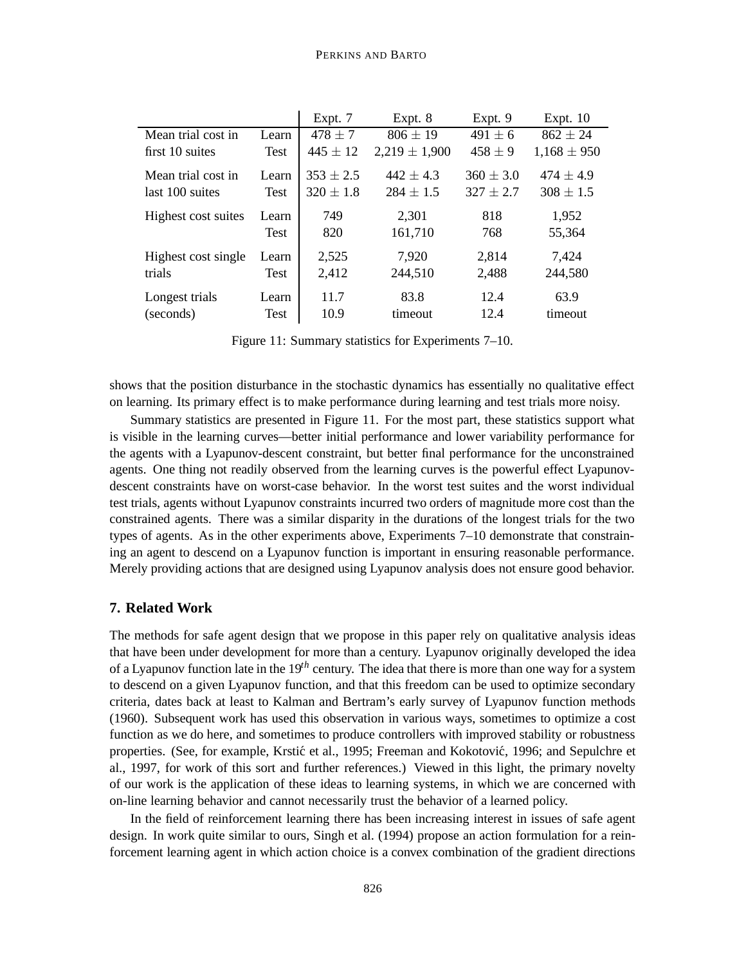|                     |             | Expt. 7       | Expt. 8           | Expt. 9       | Expt. $10$      |
|---------------------|-------------|---------------|-------------------|---------------|-----------------|
| Mean trial cost in  | Learn       | $478 \pm 7$   | $806 \pm 19$      | $491 \pm 6$   | $862 \pm 24$    |
| first 10 suites     | <b>Test</b> | $445 \pm 12$  | $2,219 \pm 1,900$ | $458 \pm 9$   | $1,168 \pm 950$ |
| Mean trial cost in  | Learn       | $353 \pm 2.5$ | $442 \pm 4.3$     | $360 \pm 3.0$ | $474 \pm 4.9$   |
| last 100 suites     | <b>Test</b> | $320 \pm 1.8$ | $284 \pm 1.5$     | $327 \pm 2.7$ | $308 \pm 1.5$   |
| Highest cost suites | Learn       | 749           | 2,301             | 818           | 1,952           |
|                     | Test        | 820           | 161,710           | 768           | 55,364          |
| Highest cost single | Learn       | 2,525         | 7,920             | 2,814         | 7,424           |
| trials              | Test        | 2,412         | 244,510           | 2,488         | 244,580         |
| Longest trials      | Learn       | 11.7          | 83.8              | 12.4          | 63.9            |
| (seconds)           | <b>Test</b> | 10.9          | timeout           | 12.4          | timeout         |

Figure 11: Summary statistics for Experiments 7–10.

shows that the position disturbance in the stochastic dynamics has essentially no qualitative effect on learning. Its primary effect is to make performance during learning and test trials more noisy.

Summary statistics are presented in Figure 11. For the most part, these statistics support what is visible in the learning curves—better initial performance and lower variability performance for the agents with a Lyapunov-descent constraint, but better final performance for the unconstrained agents. One thing not readily observed from the learning curves is the powerful effect Lyapunovdescent constraints have on worst-case behavior. In the worst test suites and the worst individual test trials, agents without Lyapunov constraints incurred two orders of magnitude more cost than the constrained agents. There was a similar disparity in the durations of the longest trials for the two types of agents. As in the other experiments above, Experiments 7–10 demonstrate that constraining an agent to descend on a Lyapunov function is important in ensuring reasonable performance. Merely providing actions that are designed using Lyapunov analysis does not ensure good behavior.

## **7. Related Work**

The methods for safe agent design that we propose in this paper rely on qualitative analysis ideas that have been under development for more than a century. Lyapunov originally developed the idea of a Lyapunov function late in the 19*th* century. The idea that there is more than one way for a system to descend on a given Lyapunov function, and that this freedom can be used to optimize secondary criteria, dates back at least to Kalman and Bertram's early survey of Lyapunov function methods (1960). Subsequent work has used this observation in various ways, sometimes to optimize a cost function as we do here, and sometimes to produce controllers with improved stability or robustness properties. (See, for example, Krstić et al., 1995; Freeman and Kokotović, 1996; and Sepulchre et al., 1997, for work of this sort and further references.) Viewed in this light, the primary novelty of our work is the application of these ideas to learning systems, in which we are concerned with on-line learning behavior and cannot necessarily trust the behavior of a learned policy.

In the field of reinforcement learning there has been increasing interest in issues of safe agent design. In work quite similar to ours, Singh et al. (1994) propose an action formulation for a reinforcement learning agent in which action choice is a convex combination of the gradient directions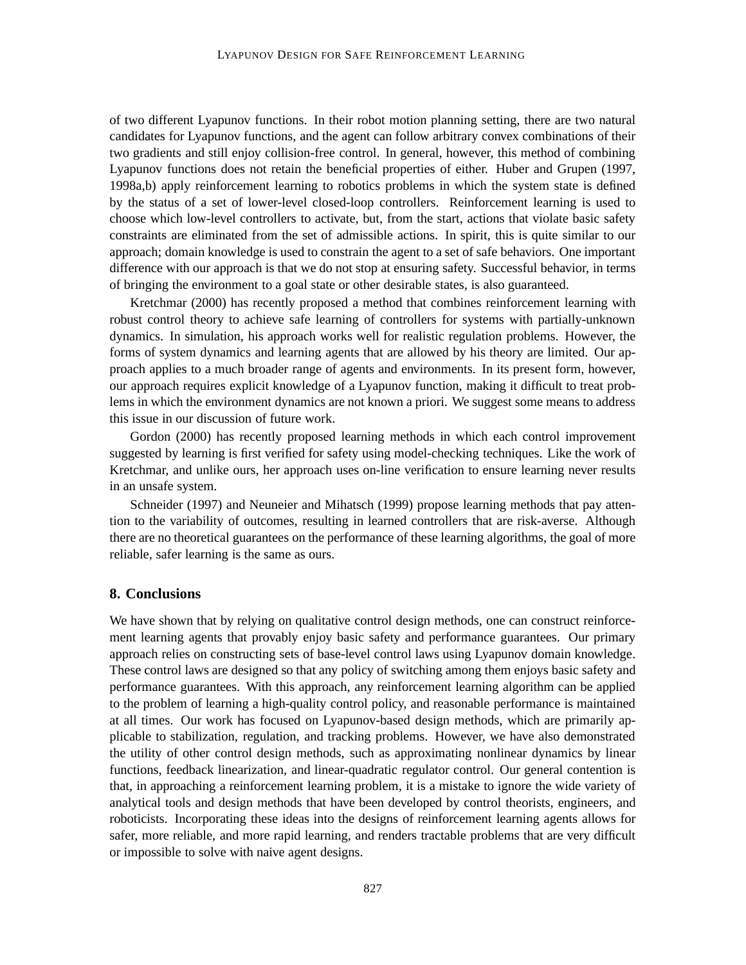of two different Lyapunov functions. In their robot motion planning setting, there are two natural candidates for Lyapunov functions, and the agent can follow arbitrary convex combinations of their two gradients and still enjoy collision-free control. In general, however, this method of combining Lyapunov functions does not retain the beneficial properties of either. Huber and Grupen (1997, 1998a,b) apply reinforcement learning to robotics problems in which the system state is defined by the status of a set of lower-level closed-loop controllers. Reinforcement learning is used to choose which low-level controllers to activate, but, from the start, actions that violate basic safety constraints are eliminated from the set of admissible actions. In spirit, this is quite similar to our approach; domain knowledge is used to constrain the agent to a set of safe behaviors. One important difference with our approach is that we do not stop at ensuring safety. Successful behavior, in terms of bringing the environment to a goal state or other desirable states, is also guaranteed.

Kretchmar (2000) has recently proposed a method that combines reinforcement learning with robust control theory to achieve safe learning of controllers for systems with partially-unknown dynamics. In simulation, his approach works well for realistic regulation problems. However, the forms of system dynamics and learning agents that are allowed by his theory are limited. Our approach applies to a much broader range of agents and environments. In its present form, however, our approach requires explicit knowledge of a Lyapunov function, making it difficult to treat problems in which the environment dynamics are not known a priori. We suggest some means to address this issue in our discussion of future work.

Gordon (2000) has recently proposed learning methods in which each control improvement suggested by learning is first verified for safety using model-checking techniques. Like the work of Kretchmar, and unlike ours, her approach uses on-line verification to ensure learning never results in an unsafe system.

Schneider (1997) and Neuneier and Mihatsch (1999) propose learning methods that pay attention to the variability of outcomes, resulting in learned controllers that are risk-averse. Although there are no theoretical guarantees on the performance of these learning algorithms, the goal of more reliable, safer learning is the same as ours.

#### **8. Conclusions**

We have shown that by relying on qualitative control design methods, one can construct reinforcement learning agents that provably enjoy basic safety and performance guarantees. Our primary approach relies on constructing sets of base-level control laws using Lyapunov domain knowledge. These control laws are designed so that any policy of switching among them enjoys basic safety and performance guarantees. With this approach, any reinforcement learning algorithm can be applied to the problem of learning a high-quality control policy, and reasonable performance is maintained at all times. Our work has focused on Lyapunov-based design methods, which are primarily applicable to stabilization, regulation, and tracking problems. However, we have also demonstrated the utility of other control design methods, such as approximating nonlinear dynamics by linear functions, feedback linearization, and linear-quadratic regulator control. Our general contention is that, in approaching a reinforcement learning problem, it is a mistake to ignore the wide variety of analytical tools and design methods that have been developed by control theorists, engineers, and roboticists. Incorporating these ideas into the designs of reinforcement learning agents allows for safer, more reliable, and more rapid learning, and renders tractable problems that are very difficult or impossible to solve with naive agent designs.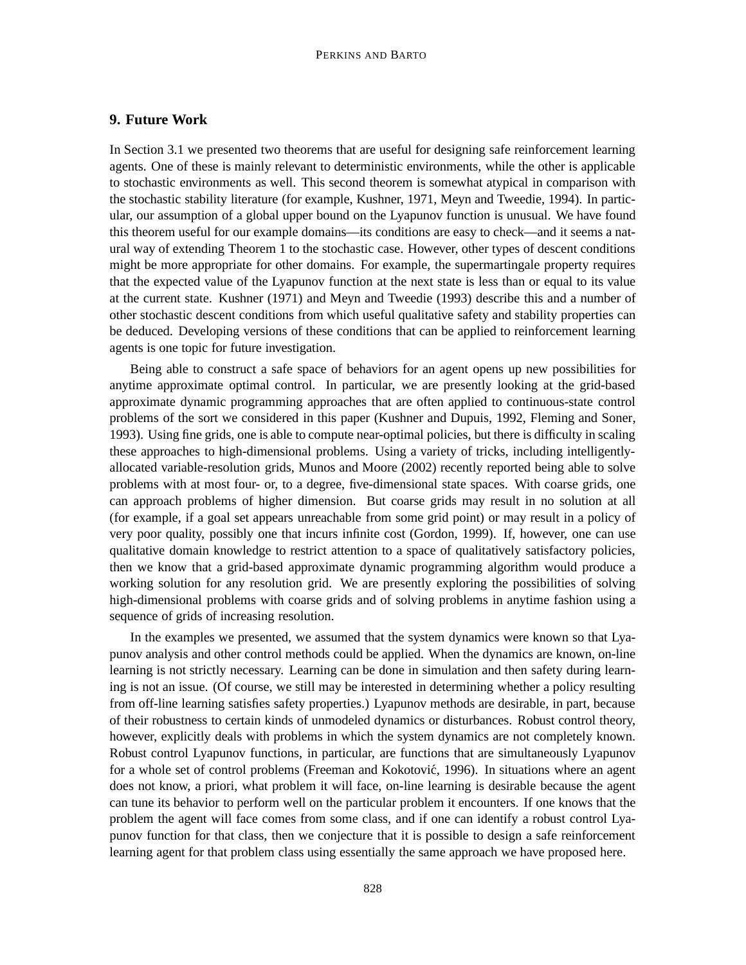# **9. Future Work**

In Section 3.1 we presented two theorems that are useful for designing safe reinforcement learning agents. One of these is mainly relevant to deterministic environments, while the other is applicable to stochastic environments as well. This second theorem is somewhat atypical in comparison with the stochastic stability literature (for example, Kushner, 1971, Meyn and Tweedie, 1994). In particular, our assumption of a global upper bound on the Lyapunov function is unusual. We have found this theorem useful for our example domains—its conditions are easy to check—and it seems a natural way of extending Theorem 1 to the stochastic case. However, other types of descent conditions might be more appropriate for other domains. For example, the supermartingale property requires that the expected value of the Lyapunov function at the next state is less than or equal to its value at the current state. Kushner (1971) and Meyn and Tweedie (1993) describe this and a number of other stochastic descent conditions from which useful qualitative safety and stability properties can be deduced. Developing versions of these conditions that can be applied to reinforcement learning agents is one topic for future investigation.

Being able to construct a safe space of behaviors for an agent opens up new possibilities for anytime approximate optimal control. In particular, we are presently looking at the grid-based approximate dynamic programming approaches that are often applied to continuous-state control problems of the sort we considered in this paper (Kushner and Dupuis, 1992, Fleming and Soner, 1993). Using fine grids, one is able to compute near-optimal policies, but there is difficulty in scaling these approaches to high-dimensional problems. Using a variety of tricks, including intelligentlyallocated variable-resolution grids, Munos and Moore (2002) recently reported being able to solve problems with at most four- or, to a degree, five-dimensional state spaces. With coarse grids, one can approach problems of higher dimension. But coarse grids may result in no solution at all (for example, if a goal set appears unreachable from some grid point) or may result in a policy of very poor quality, possibly one that incurs infinite cost (Gordon, 1999). If, however, one can use qualitative domain knowledge to restrict attention to a space of qualitatively satisfactory policies, then we know that a grid-based approximate dynamic programming algorithm would produce a working solution for any resolution grid. We are presently exploring the possibilities of solving high-dimensional problems with coarse grids and of solving problems in anytime fashion using a sequence of grids of increasing resolution.

In the examples we presented, we assumed that the system dynamics were known so that Lyapunov analysis and other control methods could be applied. When the dynamics are known, on-line learning is not strictly necessary. Learning can be done in simulation and then safety during learning is not an issue. (Of course, we still may be interested in determining whether a policy resulting from off-line learning satisfies safety properties.) Lyapunov methods are desirable, in part, because of their robustness to certain kinds of unmodeled dynamics or disturbances. Robust control theory, however, explicitly deals with problems in which the system dynamics are not completely known. Robust control Lyapunov functions, in particular, are functions that are simultaneously Lyapunov for a whole set of control problems (Freeman and Kokotović, 1996). In situations where an agent does not know, a priori, what problem it will face, on-line learning is desirable because the agent can tune its behavior to perform well on the particular problem it encounters. If one knows that the problem the agent will face comes from some class, and if one can identify a robust control Lyapunov function for that class, then we conjecture that it is possible to design a safe reinforcement learning agent for that problem class using essentially the same approach we have proposed here.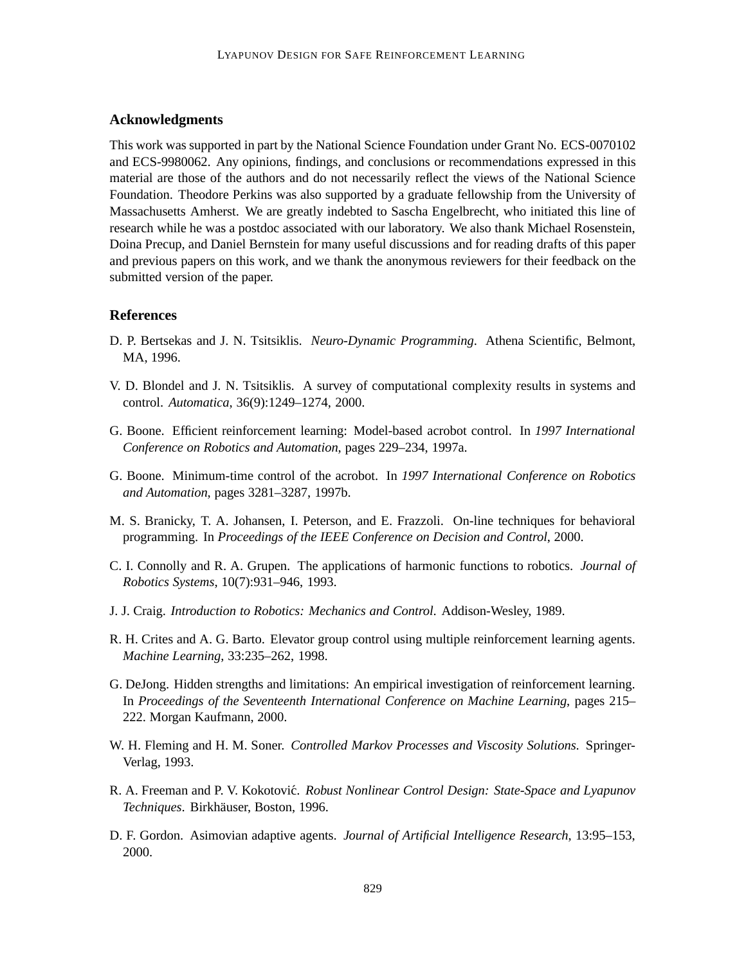# **Acknowledgments**

This work was supported in part by the National Science Foundation under Grant No. ECS-0070102 and ECS-9980062. Any opinions, findings, and conclusions or recommendations expressed in this material are those of the authors and do not necessarily reflect the views of the National Science Foundation. Theodore Perkins was also supported by a graduate fellowship from the University of Massachusetts Amherst. We are greatly indebted to Sascha Engelbrecht, who initiated this line of research while he was a postdoc associated with our laboratory. We also thank Michael Rosenstein, Doina Precup, and Daniel Bernstein for many useful discussions and for reading drafts of this paper and previous papers on this work, and we thank the anonymous reviewers for their feedback on the submitted version of the paper.

## **References**

- D. P. Bertsekas and J. N. Tsitsiklis. *Neuro-Dynamic Programming*. Athena Scientific, Belmont, MA, 1996.
- V. D. Blondel and J. N. Tsitsiklis. A survey of computational complexity results in systems and control. *Automatica*, 36(9):1249–1274, 2000.
- G. Boone. Efficient reinforcement learning: Model-based acrobot control. In *1997 International Conference on Robotics and Automation*, pages 229–234, 1997a.
- G. Boone. Minimum-time control of the acrobot. In *1997 International Conference on Robotics and Automation*, pages 3281–3287, 1997b.
- M. S. Branicky, T. A. Johansen, I. Peterson, and E. Frazzoli. On-line techniques for behavioral programming. In *Proceedings of the IEEE Conference on Decision and Control*, 2000.
- C. I. Connolly and R. A. Grupen. The applications of harmonic functions to robotics. *Journal of Robotics Systems*, 10(7):931–946, 1993.
- J. J. Craig. *Introduction to Robotics: Mechanics and Control*. Addison-Wesley, 1989.
- R. H. Crites and A. G. Barto. Elevator group control using multiple reinforcement learning agents. *Machine Learning*, 33:235–262, 1998.
- G. DeJong. Hidden strengths and limitations: An empirical investigation of reinforcement learning. In *Proceedings of the Seventeenth International Conference on Machine Learning*, pages 215– 222. Morgan Kaufmann, 2000.
- W. H. Fleming and H. M. Soner. *Controlled Markov Processes and Viscosity Solutions*. Springer-Verlag, 1993.
- R. A. Freeman and P. V. Kokotović. *Robust Nonlinear Control Design: State-Space and Lyapunov Techniques*. Birkh¨auser, Boston, 1996.
- D. F. Gordon. Asimovian adaptive agents. *Journal of Artificial Intelligence Research*, 13:95–153, 2000.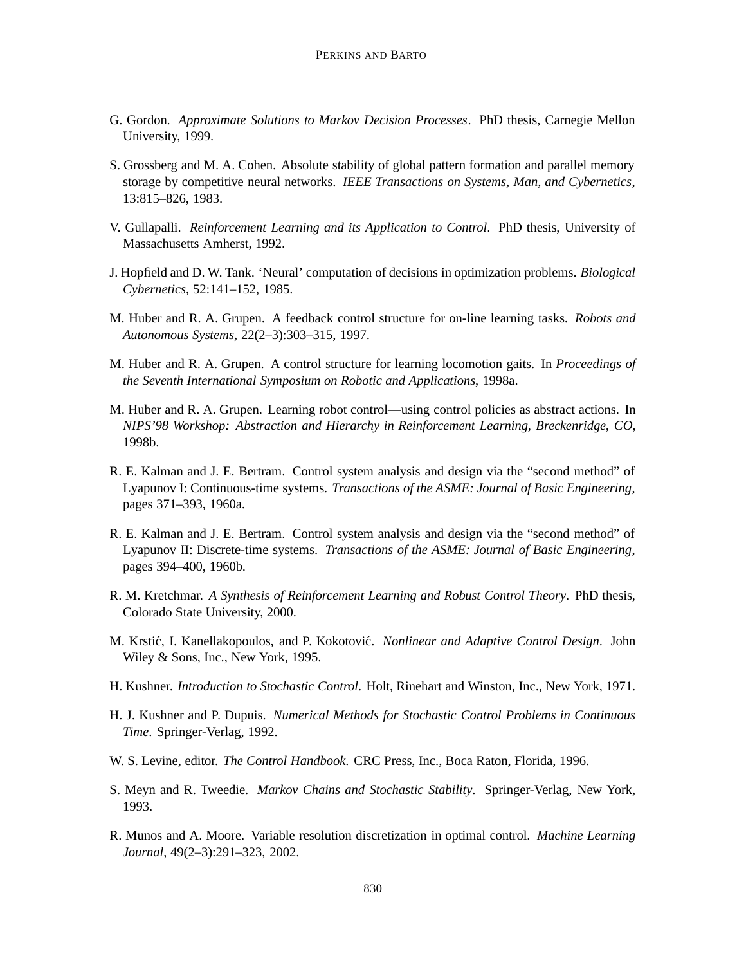- G. Gordon. *Approximate Solutions to Markov Decision Processes*. PhD thesis, Carnegie Mellon University, 1999.
- S. Grossberg and M. A. Cohen. Absolute stability of global pattern formation and parallel memory storage by competitive neural networks. *IEEE Transactions on Systems, Man, and Cybernetics*, 13:815–826, 1983.
- V. Gullapalli. *Reinforcement Learning and its Application to Control*. PhD thesis, University of Massachusetts Amherst, 1992.
- J. Hopfield and D. W. Tank. 'Neural' computation of decisions in optimization problems. *Biological Cybernetics*, 52:141–152, 1985.
- M. Huber and R. A. Grupen. A feedback control structure for on-line learning tasks. *Robots and Autonomous Systems*, 22(2–3):303–315, 1997.
- M. Huber and R. A. Grupen. A control structure for learning locomotion gaits. In *Proceedings of the Seventh International Symposium on Robotic and Applications*, 1998a.
- M. Huber and R. A. Grupen. Learning robot control—using control policies as abstract actions. In *NIPS'98 Workshop: Abstraction and Hierarchy in Reinforcement Learning, Breckenridge, CO*, 1998b.
- R. E. Kalman and J. E. Bertram. Control system analysis and design via the "second method" of Lyapunov I: Continuous-time systems. *Transactions of the ASME: Journal of Basic Engineering*, pages 371–393, 1960a.
- R. E. Kalman and J. E. Bertram. Control system analysis and design via the "second method" of Lyapunov II: Discrete-time systems. *Transactions of the ASME: Journal of Basic Engineering*, pages 394–400, 1960b.
- R. M. Kretchmar. *A Synthesis of Reinforcement Learning and Robust Control Theory*. PhD thesis, Colorado State University, 2000.
- M. Krstić, I. Kanellakopoulos, and P. Kokotović. *Nonlinear and Adaptive Control Design*. John Wiley & Sons, Inc., New York, 1995.
- H. Kushner. *Introduction to Stochastic Control*. Holt, Rinehart and Winston, Inc., New York, 1971.
- H. J. Kushner and P. Dupuis. *Numerical Methods for Stochastic Control Problems in Continuous Time*. Springer-Verlag, 1992.
- W. S. Levine, editor. *The Control Handbook*. CRC Press, Inc., Boca Raton, Florida, 1996.
- S. Meyn and R. Tweedie. *Markov Chains and Stochastic Stability*. Springer-Verlag, New York, 1993.
- R. Munos and A. Moore. Variable resolution discretization in optimal control. *Machine Learning Journal*, 49(2–3):291–323, 2002.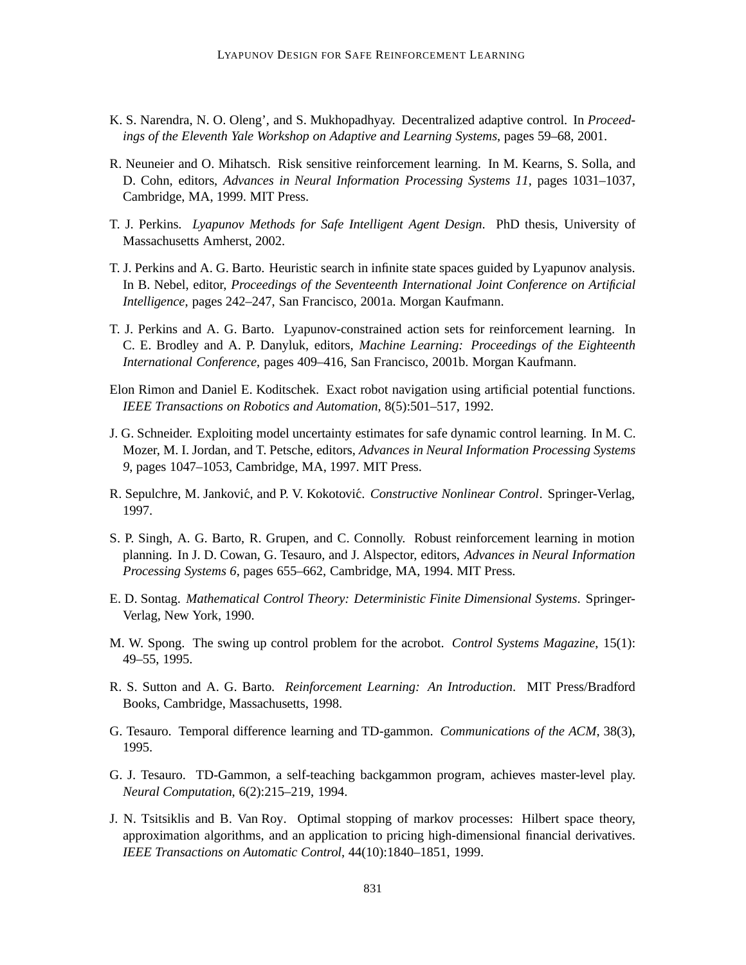- K. S. Narendra, N. O. Oleng', and S. Mukhopadhyay. Decentralized adaptive control. In *Proceedings of the Eleventh Yale Workshop on Adaptive and Learning Systems*, pages 59–68, 2001.
- R. Neuneier and O. Mihatsch. Risk sensitive reinforcement learning. In M. Kearns, S. Solla, and D. Cohn, editors, *Advances in Neural Information Processing Systems 11*, pages 1031–1037, Cambridge, MA, 1999. MIT Press.
- T. J. Perkins. *Lyapunov Methods for Safe Intelligent Agent Design*. PhD thesis, University of Massachusetts Amherst, 2002.
- T. J. Perkins and A. G. Barto. Heuristic search in infinite state spaces guided by Lyapunov analysis. In B. Nebel, editor, *Proceedings of the Seventeenth International Joint Conference on Artificial Intelligence*, pages 242–247, San Francisco, 2001a. Morgan Kaufmann.
- T. J. Perkins and A. G. Barto. Lyapunov-constrained action sets for reinforcement learning. In C. E. Brodley and A. P. Danyluk, editors, *Machine Learning: Proceedings of the Eighteenth International Conference*, pages 409–416, San Francisco, 2001b. Morgan Kaufmann.
- Elon Rimon and Daniel E. Koditschek. Exact robot navigation using artificial potential functions. *IEEE Transactions on Robotics and Automation*, 8(5):501–517, 1992.
- J. G. Schneider. Exploiting model uncertainty estimates for safe dynamic control learning. In M. C. Mozer, M. I. Jordan, and T. Petsche, editors, *Advances in Neural Information Processing Systems 9*, pages 1047–1053, Cambridge, MA, 1997. MIT Press.
- R. Sepulchre, M. Janković, and P. V. Kokotović. *Constructive Nonlinear Control*. Springer-Verlag, 1997.
- S. P. Singh, A. G. Barto, R. Grupen, and C. Connolly. Robust reinforcement learning in motion planning. In J. D. Cowan, G. Tesauro, and J. Alspector, editors, *Advances in Neural Information Processing Systems 6*, pages 655–662, Cambridge, MA, 1994. MIT Press.
- E. D. Sontag. *Mathematical Control Theory: Deterministic Finite Dimensional Systems*. Springer-Verlag, New York, 1990.
- M. W. Spong. The swing up control problem for the acrobot. *Control Systems Magazine*, 15(1): 49–55, 1995.
- R. S. Sutton and A. G. Barto. *Reinforcement Learning: An Introduction*. MIT Press/Bradford Books, Cambridge, Massachusetts, 1998.
- G. Tesauro. Temporal difference learning and TD-gammon. *Communications of the ACM*, 38(3), 1995.
- G. J. Tesauro. TD-Gammon, a self-teaching backgammon program, achieves master-level play. *Neural Computation*, 6(2):215–219, 1994.
- J. N. Tsitsiklis and B. Van Roy. Optimal stopping of markov processes: Hilbert space theory, approximation algorithms, and an application to pricing high-dimensional financial derivatives. *IEEE Transactions on Automatic Control*, 44(10):1840–1851, 1999.